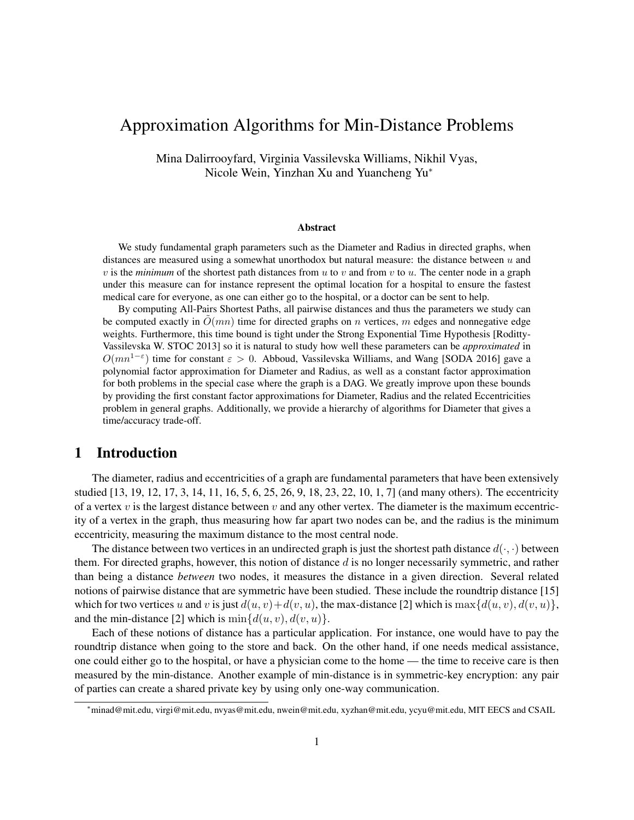# Approximation Algorithms for Min-Distance Problems

Mina Dalirrooyfard, Virginia Vassilevska Williams, Nikhil Vyas, Nicole Wein, Yinzhan Xu and Yuancheng Yu<sup>∗</sup>

## Abstract

We study fundamental graph parameters such as the Diameter and Radius in directed graphs, when distances are measured using a somewhat unorthodox but natural measure: the distance between u and v is the *minimum* of the shortest path distances from  $u$  to  $v$  and from  $v$  to  $u$ . The center node in a graph under this measure can for instance represent the optimal location for a hospital to ensure the fastest medical care for everyone, as one can either go to the hospital, or a doctor can be sent to help.

By computing All-Pairs Shortest Paths, all pairwise distances and thus the parameters we study can be computed exactly in  $O(mn)$  time for directed graphs on n vertices, m edges and nonnegative edge weights. Furthermore, this time bound is tight under the Strong Exponential Time Hypothesis [Roditty-Vassilevska W. STOC 2013] so it is natural to study how well these parameters can be *approximated* in  $O(mn^{1-\epsilon})$  time for constant  $\epsilon > 0$ . Abboud, Vassilevska Williams, and Wang [SODA 2016] gave a polynomial factor approximation for Diameter and Radius, as well as a constant factor approximation for both problems in the special case where the graph is a DAG. We greatly improve upon these bounds by providing the first constant factor approximations for Diameter, Radius and the related Eccentricities problem in general graphs. Additionally, we provide a hierarchy of algorithms for Diameter that gives a time/accuracy trade-off.

# 1 Introduction

The diameter, radius and eccentricities of a graph are fundamental parameters that have been extensively studied [13, 19, 12, 17, 3, 14, 11, 16, 5, 6, 25, 26, 9, 18, 23, 22, 10, 1, 7] (and many others). The eccentricity of a vertex  $v$  is the largest distance between  $v$  and any other vertex. The diameter is the maximum eccentricity of a vertex in the graph, thus measuring how far apart two nodes can be, and the radius is the minimum eccentricity, measuring the maximum distance to the most central node.

The distance between two vertices in an undirected graph is just the shortest path distance  $d(\cdot, \cdot)$  between them. For directed graphs, however, this notion of distance  $d$  is no longer necessarily symmetric, and rather than being a distance *between* two nodes, it measures the distance in a given direction. Several related notions of pairwise distance that are symmetric have been studied. These include the roundtrip distance [15] which for two vertices u and v is just  $d(u, v)+d(v, u)$ , the max-distance [2] which is max $\{d(u, v), d(v, u)\}$ , and the min-distance [2] which is  $\min\{d(u, v), d(v, u)\}.$ 

Each of these notions of distance has a particular application. For instance, one would have to pay the roundtrip distance when going to the store and back. On the other hand, if one needs medical assistance, one could either go to the hospital, or have a physician come to the home — the time to receive care is then measured by the min-distance. Another example of min-distance is in symmetric-key encryption: any pair of parties can create a shared private key by using only one-way communication.

<sup>∗</sup>minad@mit.edu, virgi@mit.edu, nvyas@mit.edu, nwein@mit.edu, xyzhan@mit.edu, ycyu@mit.edu, MIT EECS and CSAIL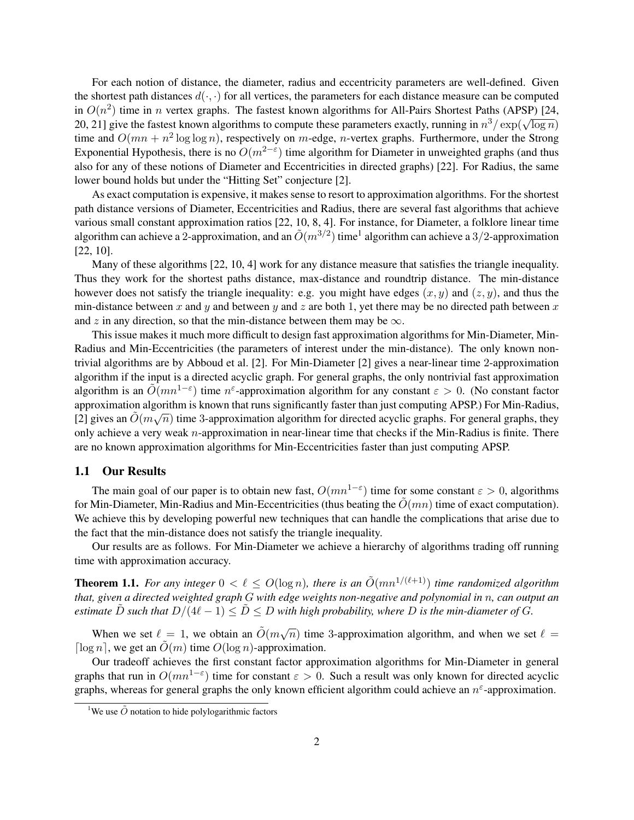For each notion of distance, the diameter, radius and eccentricity parameters are well-defined. Given the shortest path distances  $d(\cdot, \cdot)$  for all vertices, the parameters for each distance measure can be computed in  $O(n^2)$  time in n vertex graphs. The fastest known algorithms for All-Pairs Shortest Paths (APSP) [24,  $20, 21$  give the fastest known algorithms to compute these parameters exactly, running in  $n^3 / \exp(\sqrt{\log n})$ time and  $O(mn + n^2 \log \log n)$ , respectively on m-edge, n-vertex graphs. Furthermore, under the Strong Exponential Hypothesis, there is no  $O(m^{2-\epsilon})$  time algorithm for Diameter in unweighted graphs (and thus also for any of these notions of Diameter and Eccentricities in directed graphs) [22]. For Radius, the same lower bound holds but under the "Hitting Set" conjecture [2].

As exact computation is expensive, it makes sense to resort to approximation algorithms. For the shortest path distance versions of Diameter, Eccentricities and Radius, there are several fast algorithms that achieve various small constant approximation ratios [22, 10, 8, 4]. For instance, for Diameter, a folklore linear time algorithm can achieve a 2-approximation, and an  $\tilde{O}(m^{3/2})$  time<sup>1</sup> algorithm can achieve a 3/2-approximation [22, 10].

Many of these algorithms [22, 10, 4] work for any distance measure that satisfies the triangle inequality. Thus they work for the shortest paths distance, max-distance and roundtrip distance. The min-distance however does not satisfy the triangle inequality: e.g. you might have edges  $(x, y)$  and  $(z, y)$ , and thus the min-distance between x and y and between y and z are both 1, yet there may be no directed path between x and z in any direction, so that the min-distance between them may be  $\infty$ .

This issue makes it much more difficult to design fast approximation algorithms for Min-Diameter, Min-Radius and Min-Eccentricities (the parameters of interest under the min-distance). The only known nontrivial algorithms are by Abboud et al. [2]. For Min-Diameter [2] gives a near-linear time 2-approximation algorithm if the input is a directed acyclic graph. For general graphs, the only nontrivial fast approximation algorithm is an  $\tilde{O}(mn^{1-\epsilon})$  time  $n^{\epsilon}$ -approximation algorithm for any constant  $\varepsilon > 0$ . (No constant factor approximation algorithm is known that runs significantly faster than just computing APSP.) For Min-Radius, [2] gives an  $\tilde{O}(m\sqrt{n})$  time 3-approximation algorithm for directed acyclic graphs. For general graphs, they only achieve a very weak  $n$ -approximation in near-linear time that checks if the Min-Radius is finite. There are no known approximation algorithms for Min-Eccentricities faster than just computing APSP.

#### 1.1 Our Results

The main goal of our paper is to obtain new fast,  $O(mn^{1-\epsilon})$  time for some constant  $\epsilon > 0$ , algorithms for Min-Diameter, Min-Radius and Min-Eccentricities (thus beating the  $O(mn)$ ) time of exact computation). We achieve this by developing powerful new techniques that can handle the complications that arise due to the fact that the min-distance does not satisfy the triangle inequality.

Our results are as follows. For Min-Diameter we achieve a hierarchy of algorithms trading off running time with approximation accuracy.

**Theorem 1.1.** For any integer  $0 < \ell < O(\log n)$ , there is an  $\tilde{O}(mn^{1/(\ell+1)})$  time randomized algorithm *that, given a directed weighted graph* G *with edge weights non-negative and polynomial in* n*, can output an estimate*  $\tilde{D}$  *such that*  $D/(4\ell - 1) \leq \tilde{D} \leq D$  *with high probability, where* D *is the min-diameter of* G.

When we set  $\ell = 1$ , we obtain an  $\tilde{O}(m\sqrt{n})$  time 3-approximation algorithm, and when we set  $\ell =$ [ $\log n$ ], we get an  $O(m)$  time  $O(\log n)$ -approximation.

Our tradeoff achieves the first constant factor approximation algorithms for Min-Diameter in general graphs that run in  $O(mn^{1-\epsilon})$  time for constant  $\varepsilon > 0$ . Such a result was only known for directed acyclic graphs, whereas for general graphs the only known efficient algorithm could achieve an  $n^{\epsilon}$ -approximation.

<sup>&</sup>lt;sup>1</sup>We use  $\tilde{O}$  notation to hide polylogarithmic factors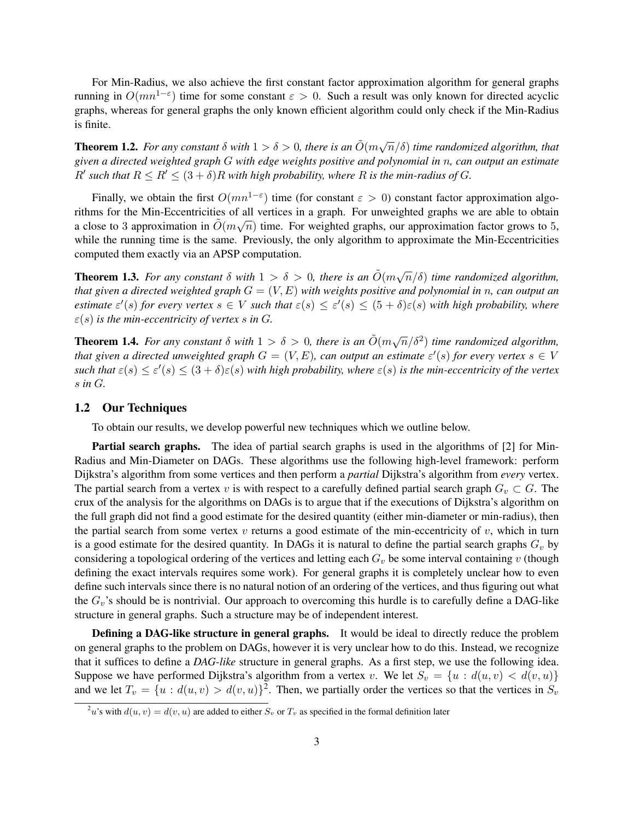For Min-Radius, we also achieve the first constant factor approximation algorithm for general graphs running in  $O(mn^{1-\epsilon})$  time for some constant  $\epsilon > 0$ . Such a result was only known for directed acyclic graphs, whereas for general graphs the only known efficient algorithm could only check if the Min-Radius is finite.

**Theorem 1.2.** For any constant  $\delta$  with  $1 > \delta > 0$ , there is an  $\tilde{O}(m\sqrt{n}/\delta)$  time randomized algorithm, that *given a directed weighted graph* G *with edge weights positive and polynomial in* n*, can output an estimate*  $R'$  such that  $R \leq R' \leq (3 + \delta)R$  with high probability, where R is the min-radius of G.

Finally, we obtain the first  $O(mn^{1-\epsilon})$  time (for constant  $\epsilon > 0$ ) constant factor approximation algorithms for the Min-Eccentricities of all vertices in a graph. For unweighted graphs we are able to obtain a close to 3 approximation in  $\tilde{O}(m\sqrt{n})$  time. For weighted graphs, our approximation factor grows to 5, while the running time is the same. Previously, the only algorithm to approximate the Min-Eccentricities computed them exactly via an APSP computation.

**Theorem 1.3.** For any constant  $\delta$  with  $1 > \delta > 0$ , there is an  $\tilde{O}(m\sqrt{n}/\delta)$  time randomized algorithm, *that given a directed weighted graph* G = (V, E) *with weights positive and polynomial in* n*, can output an estimate*  $\varepsilon'(s)$  *for every vertex*  $s \in V$  *such that*  $\varepsilon(s) \leq \varepsilon'(s) \leq (5+\delta)\varepsilon(s)$  *with high probability, where*  $\varepsilon$ (s) *is the min-eccentricity of vertex s in G.* 

**Theorem 1.4.** For any constant  $\delta$  with  $1 > \delta > 0$ , there is an  $\tilde{O}(m\sqrt{n}/\delta^2)$  time randomized algorithm, *that given a directed unweighted graph*  $G = (V, E)$ , can output an estimate  $\varepsilon'(s)$  for every vertex  $s \in V$  $\textit{such that } \varepsilon(s) \leq \varepsilon'(s) \leq (3+\delta)\varepsilon(s)$  with high probability, where  $\varepsilon(s)$  is the min-eccentricity of the vertex s *in* G*.*

#### 1.2 Our Techniques

To obtain our results, we develop powerful new techniques which we outline below.

Partial search graphs. The idea of partial search graphs is used in the algorithms of [2] for Min-Radius and Min-Diameter on DAGs. These algorithms use the following high-level framework: perform Dijkstra's algorithm from some vertices and then perform a *partial* Dijkstra's algorithm from *every* vertex. The partial search from a vertex v is with respect to a carefully defined partial search graph  $G_v \subset G$ . The crux of the analysis for the algorithms on DAGs is to argue that if the executions of Dijkstra's algorithm on the full graph did not find a good estimate for the desired quantity (either min-diameter or min-radius), then the partial search from some vertex  $v$  returns a good estimate of the min-eccentricity of  $v$ , which in turn is a good estimate for the desired quantity. In DAGs it is natural to define the partial search graphs  $G<sub>v</sub>$  by considering a topological ordering of the vertices and letting each  $G_v$  be some interval containing v (though defining the exact intervals requires some work). For general graphs it is completely unclear how to even define such intervals since there is no natural notion of an ordering of the vertices, and thus figuring out what the  $G_v$ 's should be is nontrivial. Our approach to overcoming this hurdle is to carefully define a DAG-like structure in general graphs. Such a structure may be of independent interest.

Defining a DAG-like structure in general graphs. It would be ideal to directly reduce the problem on general graphs to the problem on DAGs, however it is very unclear how to do this. Instead, we recognize that it suffices to define a *DAG-like* structure in general graphs. As a first step, we use the following idea. Suppose we have performed Dijkstra's algorithm from a vertex v. We let  $S_v = \{u : d(u, v) < d(v, u)\}\$ and we let  $T_v = \{u : d(u, v) > d(v, u)\}^2$ . Then, we partially order the vertices so that the vertices in  $S_v$ 

<sup>&</sup>lt;sup>2</sup>u's with  $d(u, v) = d(v, u)$  are added to either  $S_v$  or  $T_v$  as specified in the formal definition later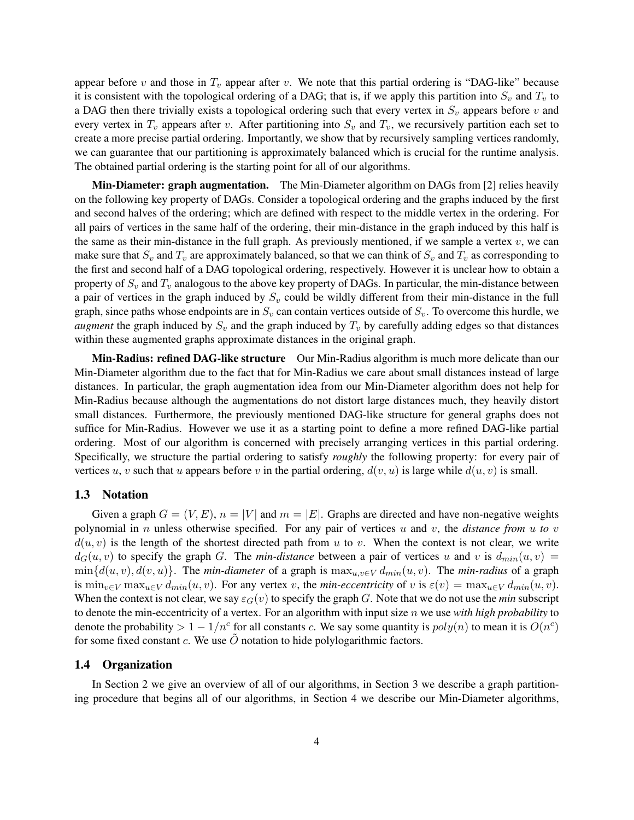appear before v and those in  $T_v$  appear after v. We note that this partial ordering is "DAG-like" because it is consistent with the topological ordering of a DAG; that is, if we apply this partition into  $S_v$  and  $T_v$  to a DAG then there trivially exists a topological ordering such that every vertex in  $S_v$  appears before v and every vertex in  $T_v$  appears after v. After partitioning into  $S_v$  and  $T_v$ , we recursively partition each set to create a more precise partial ordering. Importantly, we show that by recursively sampling vertices randomly, we can guarantee that our partitioning is approximately balanced which is crucial for the runtime analysis. The obtained partial ordering is the starting point for all of our algorithms.

Min-Diameter: graph augmentation. The Min-Diameter algorithm on DAGs from [2] relies heavily on the following key property of DAGs. Consider a topological ordering and the graphs induced by the first and second halves of the ordering; which are defined with respect to the middle vertex in the ordering. For all pairs of vertices in the same half of the ordering, their min-distance in the graph induced by this half is the same as their min-distance in the full graph. As previously mentioned, if we sample a vertex  $v$ , we can make sure that  $S_v$  and  $T_v$  are approximately balanced, so that we can think of  $S_v$  and  $T_v$  as corresponding to the first and second half of a DAG topological ordering, respectively. However it is unclear how to obtain a property of  $S_v$  and  $T_v$  analogous to the above key property of DAGs. In particular, the min-distance between a pair of vertices in the graph induced by  $S_v$  could be wildly different from their min-distance in the full graph, since paths whose endpoints are in  $S_v$  can contain vertices outside of  $S_v$ . To overcome this hurdle, we *augment* the graph induced by  $S_v$  and the graph induced by  $T_v$  by carefully adding edges so that distances within these augmented graphs approximate distances in the original graph.

Min-Radius: refined DAG-like structure Our Min-Radius algorithm is much more delicate than our Min-Diameter algorithm due to the fact that for Min-Radius we care about small distances instead of large distances. In particular, the graph augmentation idea from our Min-Diameter algorithm does not help for Min-Radius because although the augmentations do not distort large distances much, they heavily distort small distances. Furthermore, the previously mentioned DAG-like structure for general graphs does not suffice for Min-Radius. However we use it as a starting point to define a more refined DAG-like partial ordering. Most of our algorithm is concerned with precisely arranging vertices in this partial ordering. Specifically, we structure the partial ordering to satisfy *roughly* the following property: for every pair of vertices u, v such that u appears before v in the partial ordering,  $d(v, u)$  is large while  $d(u, v)$  is small.

#### 1.3 Notation

Given a graph  $G = (V, E)$ ,  $n = |V|$  and  $m = |E|$ . Graphs are directed and have non-negative weights polynomial in n unless otherwise specified. For any pair of vertices u and v, the *distance from* u *to* v  $d(u, v)$  is the length of the shortest directed path from u to v. When the context is not clear, we write  $d_G(u, v)$  to specify the graph G. The *min-distance* between a pair of vertices u and v is  $d_{min}(u, v)$  =  $\min\{d(u, v), d(v, u)\}.$  The *min-diameter* of a graph is  $\max_{u, v \in V} d_{min}(u, v)$ . The *min-radius* of a graph is  $\min_{v \in V} \max_{u \in V} d_{min}(u, v)$ . For any vertex v, the *min-eccentricity* of v is  $\varepsilon(v) = \max_{u \in V} d_{min}(u, v)$ . When the context is not clear, we say  $\varepsilon_G(v)$  to specify the graph G. Note that we do not use the *min* subscript to denote the min-eccentricity of a vertex. For an algorithm with input size n we use *with high probability* to denote the probability  $> 1 - 1/n^c$  for all constants c. We say some quantity is  $poly(n)$  to mean it is  $O(n^c)$ for some fixed constant c. We use  $\ddot{O}$  notation to hide polylogarithmic factors.

#### 1.4 Organization

In Section 2 we give an overview of all of our algorithms, in Section 3 we describe a graph partitioning procedure that begins all of our algorithms, in Section 4 we describe our Min-Diameter algorithms,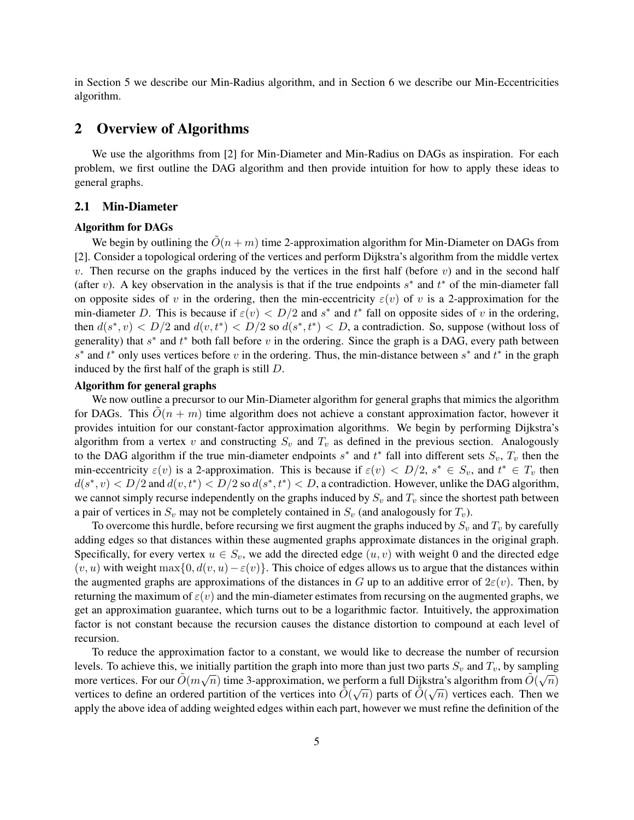in Section 5 we describe our Min-Radius algorithm, and in Section 6 we describe our Min-Eccentricities algorithm.

# 2 Overview of Algorithms

We use the algorithms from [2] for Min-Diameter and Min-Radius on DAGs as inspiration. For each problem, we first outline the DAG algorithm and then provide intuition for how to apply these ideas to general graphs.

# 2.1 Min-Diameter

## Algorithm for DAGs

We begin by outlining the  $\tilde{O}(n + m)$  time 2-approximation algorithm for Min-Diameter on DAGs from [2]. Consider a topological ordering of the vertices and perform Dijkstra's algorithm from the middle vertex  $v$ . Then recurse on the graphs induced by the vertices in the first half (before  $v$ ) and in the second half (after v). A key observation in the analysis is that if the true endpoints  $s^*$  and  $t^*$  of the min-diameter fall on opposite sides of v in the ordering, then the min-eccentricity  $\varepsilon(v)$  of v is a 2-approximation for the min-diameter D. This is because if  $\varepsilon(v) < D/2$  and  $s^*$  and  $t^*$  fall on opposite sides of v in the ordering, then  $d(s^*, v) < D/2$  and  $d(v, t^*) < D/2$  so  $d(s^*, t^*) < D$ , a contradiction. So, suppose (without loss of generality) that  $s^*$  and  $t^*$  both fall before v in the ordering. Since the graph is a DAG, every path between  $s^*$  and  $t^*$  only uses vertices before v in the ordering. Thus, the min-distance between  $s^*$  and  $t^*$  in the graph induced by the first half of the graph is still D.

## Algorithm for general graphs

We now outline a precursor to our Min-Diameter algorithm for general graphs that mimics the algorithm for DAGs. This  $O(n + m)$  time algorithm does not achieve a constant approximation factor, however it provides intuition for our constant-factor approximation algorithms. We begin by performing Dijkstra's algorithm from a vertex v and constructing  $S_v$  and  $T_v$  as defined in the previous section. Analogously to the DAG algorithm if the true min-diameter endpoints  $s^*$  and  $t^*$  fall into different sets  $S_v$ ,  $T_v$  then the min-eccentricity  $\varepsilon(v)$  is a 2-approximation. This is because if  $\varepsilon(v) < D/2$ ,  $s^* \in S_v$ , and  $t^* \in T_v$  then  $d(s^*, v) < D/2$  and  $d(v, t^*) < D/2$  so  $d(s^*, t^*) < D$ , a contradiction. However, unlike the DAG algorithm, we cannot simply recurse independently on the graphs induced by  $S_v$  and  $T_v$  since the shortest path between a pair of vertices in  $S_v$  may not be completely contained in  $S_v$  (and analogously for  $T_v$ ).

To overcome this hurdle, before recursing we first augment the graphs induced by  $S_v$  and  $T_v$  by carefully adding edges so that distances within these augmented graphs approximate distances in the original graph. Specifically, for every vertex  $u \in S_v$ , we add the directed edge  $(u, v)$  with weight 0 and the directed edge  $(v, u)$  with weight max $\{0, d(v, u) - \varepsilon(v)\}\$ . This choice of edges allows us to argue that the distances within the augmented graphs are approximations of the distances in G up to an additive error of  $2\varepsilon(v)$ . Then, by returning the maximum of  $\varepsilon(v)$  and the min-diameter estimates from recursing on the augmented graphs, we get an approximation guarantee, which turns out to be a logarithmic factor. Intuitively, the approximation factor is not constant because the recursion causes the distance distortion to compound at each level of recursion.

To reduce the approximation factor to a constant, we would like to decrease the number of recursion levels. To achieve this, we initially partition the graph into more than just two parts  $S_v$  and  $T_v$ , by sampling more vertices. For our  $\tilde{O}(m\sqrt{n})$  time 3-approximation, we perform a full Dijkstra's algorithm from  $\tilde{O}(\sqrt{n})$ vertices to define an ordered partition of the vertices into  $\tilde{O}(\sqrt{n})$  parts of  $\tilde{O}(\sqrt{n})$  vertices each. Then we apply the above idea of adding weighted edges within each part, however we must refine the definition of the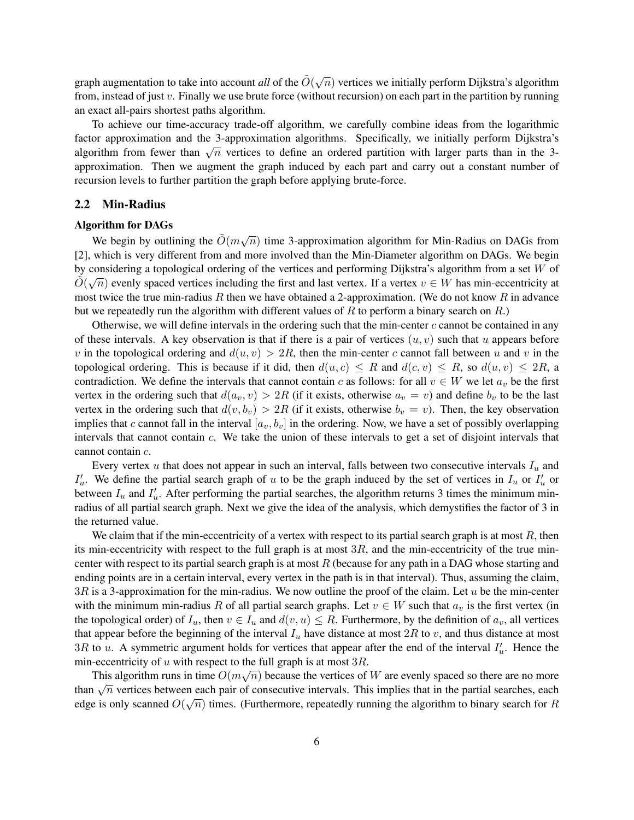graph augmentation to take into account *all* of the  $\tilde{O}(\sqrt{n})$  vertices we initially perform Dijkstra's algorithm from, instead of just  $v$ . Finally we use brute force (without recursion) on each part in the partition by running an exact all-pairs shortest paths algorithm.

To achieve our time-accuracy trade-off algorithm, we carefully combine ideas from the logarithmic factor approximation and the 3-approximation algorithms. Specifically, we initially perform Dijkstra's actor approximation and the 3-approximation algorithms. Specifically, we initially perform Dijksua's algorithm from fewer than  $\sqrt{n}$  vertices to define an ordered partition with larger parts than in the 3approximation. Then we augment the graph induced by each part and carry out a constant number of recursion levels to further partition the graph before applying brute-force.

## 2.2 Min-Radius

#### Algorithm for DAGs

We begin by outlining the  $\tilde{O}(m\sqrt{n})$  time 3-approximation algorithm for Min-Radius on DAGs from [2], which is very different from and more involved than the Min-Diameter algorithm on DAGs. We begin by considering a topological ordering of the vertices and performing Dijkstra's algorithm from a set W of  $\tilde{\phi}$  $\tilde{O}(\sqrt{n})$  evenly spaced vertices including the first and last vertex. If a vertex  $v \in W$  has min-eccentricity at most twice the true min-radius R then we have obtained a 2-approximation. (We do not know R in advance but we repeatedly run the algorithm with different values of  $R$  to perform a binary search on  $R$ .)

Otherwise, we will define intervals in the ordering such that the min-center  $c$  cannot be contained in any of these intervals. A key observation is that if there is a pair of vertices  $(u, v)$  such that u appears before v in the topological ordering and  $d(u, v) > 2R$ , then the min-center c cannot fall between u and v in the topological ordering. This is because if it did, then  $d(u, c) \leq R$  and  $d(c, v) \leq R$ , so  $d(u, v) \leq 2R$ , a contradiction. We define the intervals that cannot contain c as follows: for all  $v \in W$  we let  $a_v$  be the first vertex in the ordering such that  $d(a_v, v) > 2R$  (if it exists, otherwise  $a_v = v$ ) and define  $b_v$  to be the last vertex in the ordering such that  $d(v, b_v) > 2R$  (if it exists, otherwise  $b_v = v$ ). Then, the key observation implies that c cannot fall in the interval  $[a_v, b_v]$  in the ordering. Now, we have a set of possibly overlapping intervals that cannot contain c. We take the union of these intervals to get a set of disjoint intervals that cannot contain c.

Every vertex  $u$  that does not appear in such an interval, falls between two consecutive intervals  $I_u$  and  $I'_u$ . We define the partial search graph of u to be the graph induced by the set of vertices in  $I_u$  or  $I'_u$  or between  $I_u$  and  $I'_u$ . After performing the partial searches, the algorithm returns 3 times the minimum minradius of all partial search graph. Next we give the idea of the analysis, which demystifies the factor of 3 in the returned value.

We claim that if the min-eccentricity of a vertex with respect to its partial search graph is at most  $R$ , then its min-eccentricity with respect to the full graph is at most  $3R$ , and the min-eccentricity of the true mincenter with respect to its partial search graph is at most  $R$  (because for any path in a DAG whose starting and ending points are in a certain interval, every vertex in the path is in that interval). Thus, assuming the claim,  $3R$  is a 3-approximation for the min-radius. We now outline the proof of the claim. Let u be the min-center with the minimum min-radius R of all partial search graphs. Let  $v \in W$  such that  $a_v$  is the first vertex (in the topological order) of  $I_u$ , then  $v \in I_u$  and  $d(v, u) \leq R$ . Furthermore, by the definition of  $a_v$ , all vertices that appear before the beginning of the interval  $I_u$  have distance at most  $2R$  to v, and thus distance at most 3R to u. A symmetric argument holds for vertices that appear after the end of the interval  $I'_u$ . Hence the min-eccentricity of u with respect to the full graph is at most  $3R$ .

This algorithm runs in time  $O(m\sqrt{n})$  because the vertices of W are evenly spaced so there are no more than  $\sqrt{n}$  vertices between each pair of consecutive intervals. This implies that in the partial searches, each that is  $\sqrt{n}$ edge is only scanned  $O(\sqrt{n})$  times. (Furthermore, repeatedly running the algorithm to binary search for R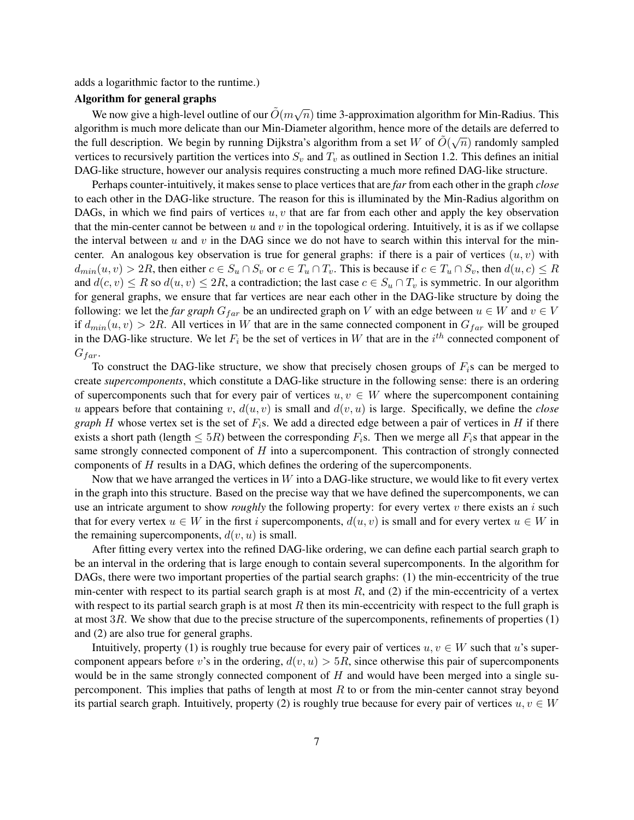adds a logarithmic factor to the runtime.)

#### Algorithm for general graphs

We now give a high-level outline of our  $\tilde{O}(m\sqrt{n})$  time 3-approximation algorithm for Min-Radius. This algorithm is much more delicate than our Min-Diameter algorithm, hence more of the details are deferred to  $\mathcal{N}$ the full description. We begin by running Dijkstra's algorithm from a set W of  $\tilde{O}(\sqrt{n})$  randomly sampled vertices to recursively partition the vertices into  $S_v$  and  $T_v$  as outlined in Section 1.2. This defines an initial DAG-like structure, however our analysis requires constructing a much more refined DAG-like structure.

Perhaps counter-intuitively, it makes sense to place vertices that are *far* from each other in the graph *close* to each other in the DAG-like structure. The reason for this is illuminated by the Min-Radius algorithm on DAGs, in which we find pairs of vertices  $u, v$  that are far from each other and apply the key observation that the min-center cannot be between u and v in the topological ordering. Intuitively, it is as if we collapse the interval between  $u$  and  $v$  in the DAG since we do not have to search within this interval for the mincenter. An analogous key observation is true for general graphs: if there is a pair of vertices  $(u, v)$  with  $d_{min}(u, v) > 2R$ , then either  $c \in S_u \cap S_v$  or  $c \in T_u \cap T_v$ . This is because if  $c \in T_u \cap S_v$ , then  $d(u, c) \leq R$ and  $d(c, v) \leq R$  so  $d(u, v) \leq 2R$ , a contradiction; the last case  $c \in S_u \cap T_v$  is symmetric. In our algorithm for general graphs, we ensure that far vertices are near each other in the DAG-like structure by doing the following: we let the *far graph*  $G_{far}$  be an undirected graph on V with an edge between  $u \in W$  and  $v \in V$ if  $d_{min}(u, v) > 2R$ . All vertices in W that are in the same connected component in  $G_{far}$  will be grouped in the DAG-like structure. We let  $F_i$  be the set of vertices in W that are in the  $i^{th}$  connected component of  $G_{far}$ .

To construct the DAG-like structure, we show that precisely chosen groups of  $F_i$ s can be merged to create *supercomponents*, which constitute a DAG-like structure in the following sense: there is an ordering of supercomponents such that for every pair of vertices  $u, v \in W$  where the supercomponent containing u appears before that containing v,  $d(u, v)$  is small and  $d(v, u)$  is large. Specifically, we define the *close graph* H whose vertex set is the set of  $F<sub>i</sub>$ s. We add a directed edge between a pair of vertices in H if there exists a short path (length  $\leq 5R$ ) between the corresponding  $F_i$ s. Then we merge all  $F_i$ s that appear in the same strongly connected component of  $H$  into a supercomponent. This contraction of strongly connected components of H results in a DAG, which defines the ordering of the supercomponents.

Now that we have arranged the vertices in  $W$  into a DAG-like structure, we would like to fit every vertex in the graph into this structure. Based on the precise way that we have defined the supercomponents, we can use an intricate argument to show *roughly* the following property: for every vertex  $v$  there exists an  $i$  such that for every vertex  $u \in W$  in the first i supercomponents,  $d(u, v)$  is small and for every vertex  $u \in W$  in the remaining supercomponents,  $d(v, u)$  is small.

After fitting every vertex into the refined DAG-like ordering, we can define each partial search graph to be an interval in the ordering that is large enough to contain several supercomponents. In the algorithm for DAGs, there were two important properties of the partial search graphs: (1) the min-eccentricity of the true min-center with respect to its partial search graph is at most  $R$ , and (2) if the min-eccentricity of a vertex with respect to its partial search graph is at most  $R$  then its min-eccentricity with respect to the full graph is at most 3R. We show that due to the precise structure of the supercomponents, refinements of properties (1) and (2) are also true for general graphs.

Intuitively, property (1) is roughly true because for every pair of vertices  $u, v \in W$  such that u's supercomponent appears before v's in the ordering,  $d(v, u) > 5R$ , since otherwise this pair of supercomponents would be in the same strongly connected component of  $H$  and would have been merged into a single supercomponent. This implies that paths of length at most  $R$  to or from the min-center cannot stray beyond its partial search graph. Intuitively, property (2) is roughly true because for every pair of vertices  $u, v \in W$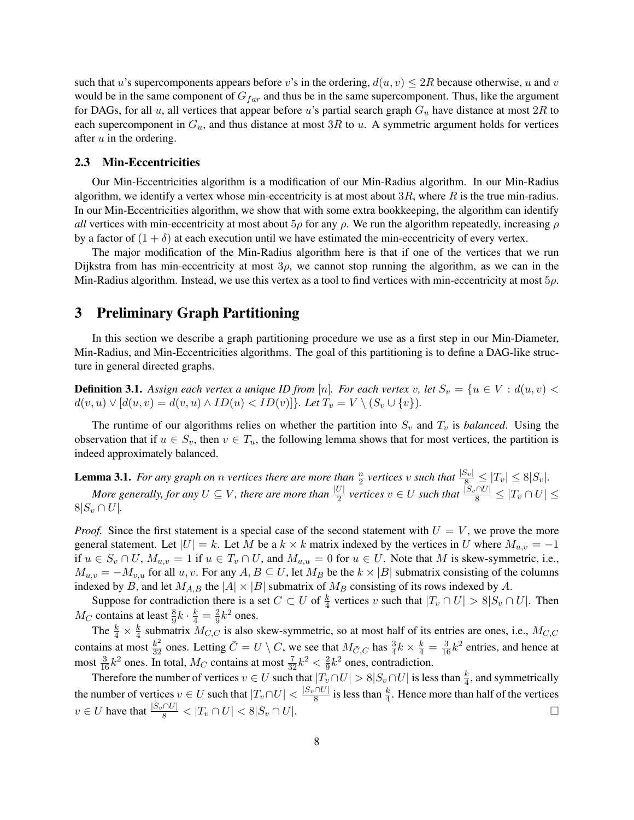such that u's supercomponents appears before v's in the ordering,  $d(u, v) \leq 2R$  because otherwise, u and v would be in the same component of  $G_{far}$  and thus be in the same supercomponent. Thus, like the argument for DAGs, for all u, all vertices that appear before u's partial search graph  $G_u$  have distance at most  $2R$  to each supercomponent in  $G_u$ , and thus distance at most 3R to u. A symmetric argument holds for vertices after  $u$  in the ordering.

#### 2.3 Min-Eccentricities

Our Min-Eccentricities algorithm is a modification of our Min-Radius algorithm. In our Min-Radius algorithm, we identify a vertex whose min-eccentricity is at most about  $3R$ , where R is the true min-radius. In our Min-Eccentricities algorithm, we show that with some extra bookkeeping, the algorithm can identify *all* vertices with min-eccentricity at most about  $5\rho$  for any  $\rho$ . We run the algorithm repeatedly, increasing  $\rho$ by a factor of  $(1 + \delta)$  at each execution until we have estimated the min-eccentricity of every vertex.

The major modification of the Min-Radius algorithm here is that if one of the vertices that we run Dijkstra from has min-eccentricity at most  $3\rho$ , we cannot stop running the algorithm, as we can in the Min-Radius algorithm. Instead, we use this vertex as a tool to find vertices with min-eccentricity at most  $5\rho$ .

# 3 Preliminary Graph Partitioning

In this section we describe a graph partitioning procedure we use as a first step in our Min-Diameter, Min-Radius, and Min-Eccentricities algorithms. The goal of this partitioning is to define a DAG-like structure in general directed graphs.

**Definition 3.1.** Assign each vertex a unique ID from [n]. For each vertex v, let  $S_v = \{u \in V : d(u, v)$  $d(v, u) \vee [d(u, v) = d(v, u) \wedge ID(u) < ID(v)]$ *}.* Let  $T_v = V \setminus (S_v \cup \{v\})$ *.* 

The runtime of our algorithms relies on whether the partition into  $S_v$  and  $T_v$  is *balanced*. Using the observation that if  $u \in S_v$ , then  $v \in T_u$ , the following lemma shows that for most vertices, the partition is indeed approximately balanced.

**Lemma 3.1.** For any graph on n vertices there are more than  $\frac{n}{2}$  vertices v such that  $\frac{|S_v|}{8} \leq |T_v| \leq 8|S_v|$ . *More generally, for any*  $U \subseteq V$ *, there are more than*  $\frac{|U|}{2}$  vertices  $v \in U$  such that  $\frac{|S_v \cap U|}{8} \le |T_v \cap U| \le$  $8|S_v \cap U|$ .

*Proof.* Since the first statement is a special case of the second statement with  $U = V$ , we prove the more general statement. Let  $|U| = k$ . Let M be a  $k \times k$  matrix indexed by the vertices in U where  $M_{u,v} = -1$ if  $u \in S_v \cap U$ ,  $M_{u,v} = 1$  if  $u \in T_v \cap U$ , and  $M_{u,u} = 0$  for  $u \in U$ . Note that M is skew-symmetric, i.e.,  $M_{u,v} = -M_{v,u}$  for all  $u, v$ . For any  $A, B \subseteq U$ , let  $M_B$  be the  $k \times |B|$  submatrix consisting of the columns indexed by B, and let  $M_{A,B}$  the  $|A| \times |B|$  submatrix of  $M_B$  consisting of its rows indexed by A.

Suppose for contradiction there is a set  $C \subset U$  of  $\frac{k}{4}$  vertices v such that  $|T_v \cap U| > 8|S_v \cap U|$ . Then  $M_C$  contains at least  $\frac{8}{9}k \cdot \frac{k}{4} = \frac{2}{9}$  $\frac{2}{9}k^2$  ones.

The  $\frac{k}{4} \times \frac{k}{4}$  $\frac{k}{4}$  submatrix  $M_{C,C}$  is also skew-symmetric, so at most half of its entries are ones, i.e.,  $M_{C,C}$ contains at most  $\frac{k^2}{32}$  ones. Letting  $\bar{C} = U \setminus C$ , we see that  $M_{\bar{C},C}$  has  $\frac{3}{4}k \times \frac{k}{4} = \frac{3}{16}k^2$  entries, and hence at most  $\frac{3}{16}k^2$  ones. In total,  $M_C$  contains at most  $\frac{7}{32}k^2 < \frac{2}{9}$  $\frac{2}{9}k^2$  ones, contradiction.

Therefore the number of vertices  $v \in U$  such that  $|T_v \cap U| > 8|S_v \cap U|$  is less than  $\frac{k}{4}$ , and symmetrically the number of vertices  $v \in U$  such that  $|T_v \cap U| < \frac{|S_v \cap U|}{8}$  $\frac{1}{8}$  is less than  $\frac{k}{4}$ . Hence more than half of the vertices  $v \in U$  have that  $\frac{|S_v \cap U|}{8} < |T_v \cap U| < 8|S_v \cap U|$ .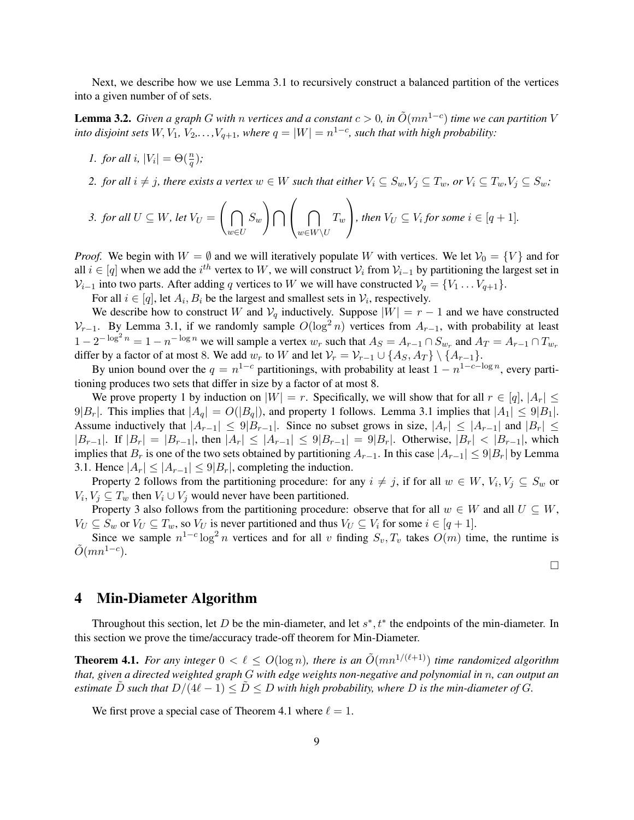Next, we describe how we use Lemma 3.1 to recursively construct a balanced partition of the vertices into a given number of of sets.

**Lemma 3.2.** *Given a graph G with n vertices and a constant*  $c > 0$ , in  $\tilde{O}(mn^{1-c})$  *time we can partition* V *into disjoint sets*  $W, V_1, V_2, \ldots, V_{q+1}$ , where  $q = |W| = n^{1-c}$ , such that with high probability:

- *1. for all i,*  $|V_i| = \Theta(\frac{n}{q})$ ;
- 2. *for all*  $i \neq j$ *, there exists a vertex*  $w \in W$  *such that either*  $V_i \subseteq S_w$ ,  $V_j \subseteq T_w$ *, or*  $V_i \subseteq T_w$ ,  $V_j \subseteq S_w$ *;*

3. for all 
$$
U \subseteq W
$$
, let  $V_U = \left(\bigcap_{w \in U} S_w\right) \bigcap \left(\bigcap_{w \in W \setminus U} T_w\right)$ , then  $V_U \subseteq V_i$  for some  $i \in [q+1]$ .

*Proof.* We begin with  $W = \emptyset$  and we will iteratively populate W with vertices. We let  $V_0 = \{V\}$  and for all  $i \in [q]$  when we add the  $i^{th}$  vertex to W, we will construct  $\mathcal{V}_i$  from  $\mathcal{V}_{i-1}$  by partitioning the largest set in  $V_{i-1}$  into two parts. After adding q vertices to W we will have constructed  $V_q = \{V_1 \dots V_{q+1}\}.$ 

For all  $i \in [q]$ , let  $A_i, B_i$  be the largest and smallest sets in  $\mathcal{V}_i$ , respectively.

We describe how to construct W and  $V_q$  inductively. Suppose  $|W| = r - 1$  and we have constructed  $V_{r-1}$ . By Lemma 3.1, if we randomly sample  $O(\log^2 n)$  vertices from  $A_{r-1}$ , with probability at least  $1-2^{-\log^2 n} = 1-n^{-\log n}$  we will sample a vertex  $w_r$  such that  $A_S = A_{r-1} \cap S_{w_r}$  and  $A_T = A_{r-1} \cap T_{w_r}$ differ by a factor of at most 8. We add  $w_r$  to W and let  $\mathcal{V}_r = \mathcal{V}_{r-1} \cup \{A_S, A_T\} \setminus \{A_{r-1}\}.$ 

By union bound over the  $q = n^{1-c}$  partitionings, with probability at least  $1 - n^{1-c-\log n}$ , every partitioning produces two sets that differ in size by a factor of at most 8.

We prove property 1 by induction on  $|W| = r$ . Specifically, we will show that for all  $r \in [q]$ ,  $|A_r| \leq$  $9|B_r|$ . This implies that  $|A_q| = O(|B_q|)$ , and property 1 follows. Lemma 3.1 implies that  $|A_1| \leq 9|B_1|$ . Assume inductively that  $|A_{r-1}| \leq 9|B_{r-1}|$ . Since no subset grows in size,  $|A_r| \leq |A_{r-1}|$  and  $|B_r| \leq$  $|B_{r-1}|$ . If  $|B_r| = |B_{r-1}|$ , then  $|A_r| \leq |A_{r-1}| \leq 9|B_{r-1}| = 9|B_r|$ . Otherwise,  $|B_r| < |B_{r-1}|$ , which implies that  $B_r$  is one of the two sets obtained by partitioning  $A_{r-1}$ . In this case  $|A_{r-1}| \leq 9|B_r|$  by Lemma 3.1. Hence  $|A_r| \leq |A_{r-1}| \leq 9|B_r|$ , completing the induction.

Property 2 follows from the partitioning procedure: for any  $i \neq j$ , if for all  $w \in W$ ,  $V_i$ ,  $V_j \subseteq S_w$  or  $V_i, V_j \subseteq T_w$  then  $V_i \cup V_j$  would never have been partitioned.

Property 3 also follows from the partitioning procedure: observe that for all  $w \in W$  and all  $U \subseteq W$ ,  $V_U \subseteq S_w$  or  $V_U \subseteq T_w$ , so  $V_U$  is never partitioned and thus  $V_U \subseteq V_i$  for some  $i \in [q+1]$ .

Since we sample  $n^{1-c} \log^2 n$  vertices and for all v finding  $S_v, T_v$  takes  $O(m)$  time, the runtime is  $\tilde{O}(mn^{1-c}).$ 

 $\Box$ 

# 4 Min-Diameter Algorithm

Throughout this section, let D be the min-diameter, and let  $s^*$ ,  $t^*$  the endpoints of the min-diameter. In this section we prove the time/accuracy trade-off theorem for Min-Diameter.

**Theorem 4.1.** For any integer  $0 < \ell \leq O(\log n)$ , there is an  $\tilde{O}(mn^{1/(\ell+1)})$  time randomized algorithm *that, given a directed weighted graph* G *with edge weights non-negative and polynomial in* n*, can output an estimate* D such that  $D/(4\ell - 1) \leq D \leq D$  with high probability, where D is the min-diameter of G.

We first prove a special case of Theorem 4.1 where  $\ell = 1$ .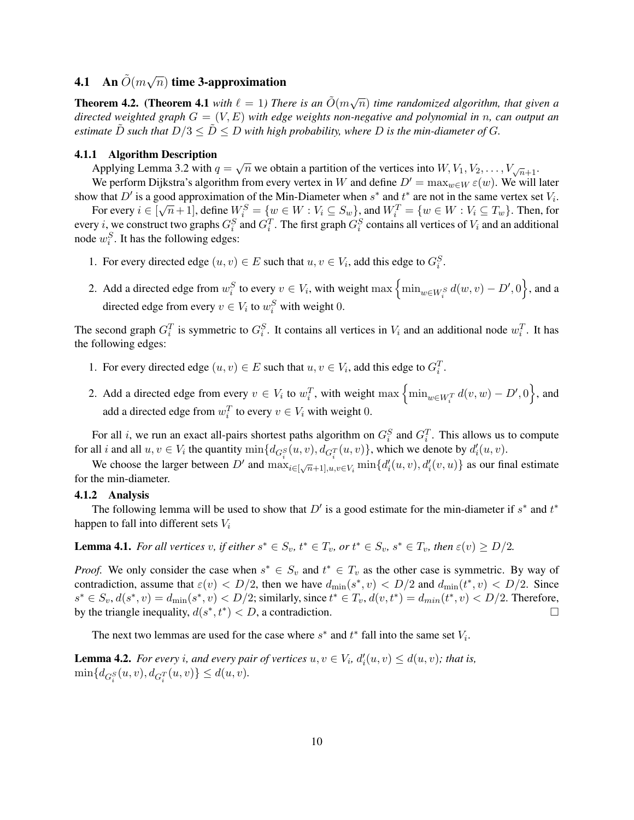#### **4.1** An  $\tilde{O}(m\sqrt{m})$  $\overline{n})$  time 3-approximation

**Theorem 4.2.** (Theorem 4.1 with  $\ell = 1$ ) There is an  $\tilde{O}(m\sqrt{n})$  time randomized algorithm, that given a *directed weighted graph* G = (V, E) *with edge weights non-negative and polynomial in* n*, can output an estimate*  $\ddot{D}$  *such that*  $D/3 \leq \ddot{D} \leq D$  *with high probability, where*  $D$  *is the min-diameter of*  $G$ *.* 

## 4.1.1 Algorithm Description

Applying Lemma 3.2 with  $q = \sqrt{n}$  we obtain a partition of the vertices into  $W, V_1, V_2, \ldots, V_{\sqrt{n+1}}$ .

We perform Dijkstra's algorithm from every vertex in W and define  $D' = \max_{w \in W} \varepsilon(w)$ . We will later show that  $D'$  is a good approximation of the Min-Diameter when  $s^*$  and  $t^*$  are not in the same vertex set  $V_i$ . For every  $i \in [\sqrt{n+1}]$ , define  $W_i^S = \{w \in W : V_i \subseteq S_w\}$ , and  $W_i^T = \{w \in W : V_i \subseteq T_w\}$ . Then, for

every *i*, we construct two graphs  $G_i^S$  and  $G_i^T$ . The first graph  $G_i^S$  contains all vertices of  $V_i$  and an additional node  $w_i^S$ . It has the following edges:

- 1. For every directed edge  $(u, v) \in E$  such that  $u, v \in V_i$ , add this edge to  $G_i^S$ .
- 2. Add a directed edge from  $w_i^S$  to every  $v \in V_i$ , with weight  $\max \left\{ \min_{w \in W_i^S} d(w, v) D', 0 \right\}$ , and a directed edge from every  $v \in V_i$  to  $w_i^S$  with weight 0.

The second graph  $G_i^T$  is symmetric to  $G_i^S$ . It contains all vertices in  $V_i$  and an additional node  $w_i^T$ . It has the following edges:

- 1. For every directed edge  $(u, v) \in E$  such that  $u, v \in V_i$ , add this edge to  $G_i^T$ .
- 2. Add a directed edge from every  $v \in V_i$  to  $w_i^T$ , with weight  $\max \left\{ \min_{w \in W_i^T} d(v, w) D', 0 \right\}$ , and add a directed edge from  $w_i^T$  to every  $v \in V_i$  with weight 0.

For all *i*, we run an exact all-pairs shortest paths algorithm on  $G_i^S$  and  $G_i^T$ . This allows us to compute for all i and all  $u, v \in V_i$  the quantity  $\min\{d_{G_i^S}(u, v), d_{G_i^T}(u, v)\}$ , which we denote by  $d'_i(u, v)$ .

We choose the larger between D' and  $\max_{i \in [\sqrt{n}+1], u, v \in V_i} \min\{d'_i(u, v), d'_i(v, u)\}$  as our final estimate for the min-diameter.

## 4.1.2 Analysis

The following lemma will be used to show that  $D'$  is a good estimate for the min-diameter if  $s^*$  and  $t^*$ happen to fall into different sets  $V_i$ 

**Lemma 4.1.** For all vertices v, if either  $s^* \in S_v$ ,  $t^* \in T_v$ , or  $t^* \in S_v$ ,  $s^* \in T_v$ , then  $\varepsilon(v) \ge D/2$ .

*Proof.* We only consider the case when  $s^* \in S_v$  and  $t^* \in T_v$  as the other case is symmetric. By way of contradiction, assume that  $\varepsilon(v) < D/2$ , then we have  $d_{\min}(s^*, v) < D/2$  and  $d_{\min}(t^*, v) < D/2$ . Since  $s^* \in S_v, d(s^*, v) = d_{\min}(s^*, v) < D/2$ ; similarly, since  $t^* \in T_v, d(v, t^*) = d_{\min}(t^*, v) < D/2$ . Therefore, by the triangle inequality,  $d(s^*, t^*) < D$ , a contradiction.

The next two lemmas are used for the case where  $s^*$  and  $t^*$  fall into the same set  $V_i$ .

**Lemma 4.2.** For every *i*, and every pair of vertices  $u, v \in V_i$ ,  $d'_i(u, v) \leq d(u, v)$ ; that is,  $\min\{d_{G_i^S}(u, v), d_{G_i^T}(u, v)\} \leq d(u, v).$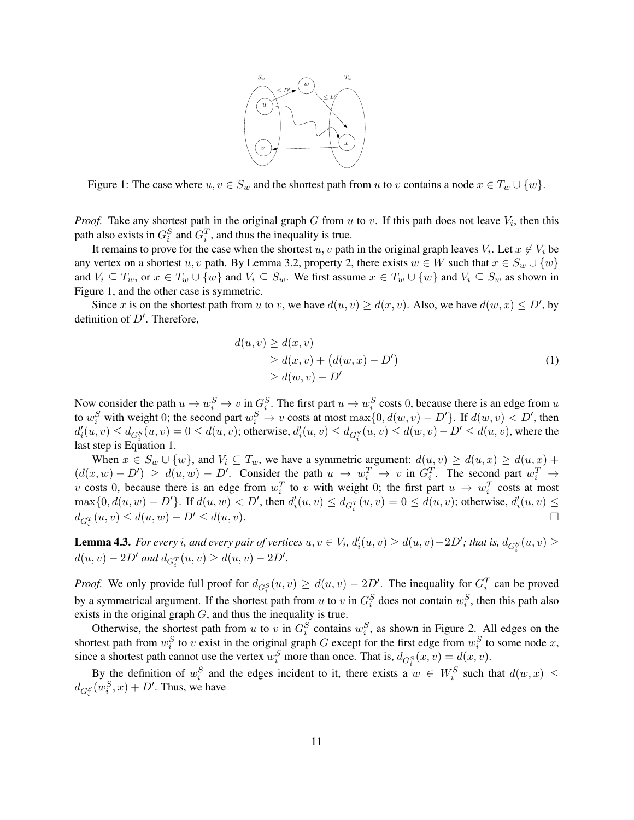

Figure 1: The case where  $u, v \in S_w$  and the shortest path from u to v contains a node  $x \in T_w \cup \{w\}$ .

*Proof.* Take any shortest path in the original graph G from  $u$  to  $v$ . If this path does not leave  $V_i$ , then this path also exists in  $G_i^S$  and  $G_i^T$ , and thus the inequality is true.

It remains to prove for the case when the shortest  $u, v$  path in the original graph leaves  $V_i$ . Let  $x \notin V_i$  be any vertex on a shortest u, v path. By Lemma 3.2, property 2, there exists  $w \in W$  such that  $x \in S_w \cup \{w\}$ and  $V_i \subseteq T_w$ , or  $x \in T_w \cup \{w\}$  and  $V_i \subseteq S_w$ . We first assume  $x \in T_w \cup \{w\}$  and  $V_i \subseteq S_w$  as shown in Figure 1, and the other case is symmetric.

Since x is on the shortest path from u to v, we have  $d(u, v) \ge d(x, v)$ . Also, we have  $d(w, x) \le D'$ , by definition of  $D'$ . Therefore,

$$
d(u, v) \ge d(x, v)
$$
  
\n
$$
\ge d(x, v) + (d(w, x) - D')
$$
  
\n
$$
\ge d(w, v) - D'
$$
 (1)

Now consider the path  $u \to w_i^S \to v$  in  $G_i^S$ . The first part  $u \to w_i^S$  costs 0, because there is an edge from u to  $w_i^S$  with weight 0; the second part  $w_i^S \to v$  costs at most  $\max\{0, d(w, v) - D'\}$ . If  $d(w, v) < D'$ , then  $d'_{i}(u, v) \leq d_{G_{i}^{S}}(u, v) = 0 \leq d(u, v)$ ; otherwise,  $d'_{i}(u, v) \leq d_{G_{i}^{S}}(u, v) \leq d(w, v) - D' \leq d(u, v)$ , where the last step is Equation 1.

When  $x \in S_w \cup \{w\}$ , and  $V_i \subseteq T_w$ , we have a symmetric argument:  $d(u, v) \ge d(u, x) \ge d(u, x) +$  $(d(x, w) - D') \geq d(u, w) - D'$ . Consider the path  $u \to w_i^T \to v$  in  $G_i^T$ . The second part  $w_i^T \to w_i^T$ v costs 0, because there is an edge from  $w_i^T$  to v with weight 0; the first part  $u \to w_i^T$  costs at most  $\max\{0, d(u, w) - D'\}$ . If  $d(u, w) < D'$ , then  $d'_{i}(u, v) \le d_{G_{i}^{T}}(u, v) = 0 ≤ d(u, v)$ ; otherwise,  $d'_{i}(u, v) ≤$  $d_{G_i^T}(u, v) \leq d(u, w) - D' \leq d(u, v).$ 

**Lemma 4.3.** For every i, and every pair of vertices  $u, v \in V_i$ ,  $d'_i(u, v) \ge d(u, v) - 2D'$ ; that is,  $d_{G_i^S}(u, v) \ge$  $d(u, v) - 2D'$  and  $d_{G_1^T}(u, v) \ge d(u, v) - 2D'.$ 

*Proof.* We only provide full proof for  $d_{G_i^S}(u, v) \ge d(u, v) - 2D'$ . The inequality for  $G_i^T$  can be proved by a symmetrical argument. If the shortest path from u to v in  $G_i^S$  does not contain  $w_i^S$ , then this path also exists in the original graph G, and thus the inequality is true.

Otherwise, the shortest path from u to v in  $G_i^S$  contains  $w_i^S$ , as shown in Figure 2. All edges on the shortest path from  $w_i^S$  to v exist in the original graph G except for the first edge from  $w_i^S$  to some node x, since a shortest path cannot use the vertex  $w_i^S$  more than once. That is,  $d_{G_i^S}(x, v) = d(x, v)$ .

By the definition of  $w_i^S$  and the edges incident to it, there exists a  $w \in W_i^S$  such that  $d(w, x) \leq$  $d_{G_i^S}(w_i^S, x) + D'$ . Thus, we have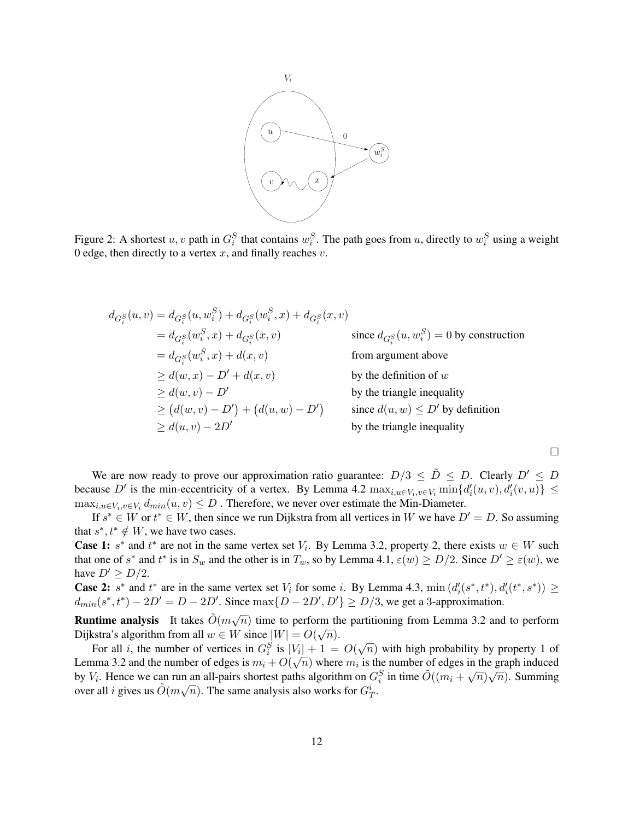

Figure 2: A shortest  $u, v$  path in  $G_i^S$  that contains  $w_i^S$ . The path goes from  $u$ , directly to  $w_i^S$  using a weight 0 edge, then directly to a vertex  $x$ , and finally reaches  $v$ .

$$
d_{G_i^S}(u, v) = d_{G_i^S}(u, w_i^S) + d_{G_i^S}(w_i^S, x) + d_{G_i^S}(x, v)
$$
  
\n
$$
= d_{G_i^S}(w_i^S, x) + d_{G_i^S}(x, v)
$$
 since  $d_{G_i^S}(u, w_i^S) = 0$  by construction  
\n
$$
= d_{G_i^S}(w_i^S, x) + d(x, v)
$$
 from argument above  
\n
$$
\geq d(w, x) - D' + d(x, v)
$$
 by the definition of w  
\n
$$
\geq d(w, v) - D'
$$
 by the triangle inequality  
\n
$$
\geq (d(w, v) - D') + (d(u, w) - D')
$$
 since  $d(u, w) \leq D'$  by definition  
\nby the triangle inequality  
\nby the triangle inequality  
\nby the triangle inequality  
\nby the triangle inequality

 $\Box$ 

We are now ready to prove our approximation ratio guarantee:  $D/3 \leq \tilde{D} \leq D$ . Clearly  $D' \leq D$ because D' is the min-eccentricity of a vertex. By Lemma 4.2  $\max_{i,u \in V_i, v \in V_i} \min\{d'_i(u,v), d'_i(v,u)\} \le$  $\max_{i,u \in V_i, v \in V_i} d_{min}(u, v) \leq D$ . Therefore, we never over estimate the Min-Diameter.

If  $s^* \in W$  or  $t^* \in W$ , then since we run Dijkstra from all vertices in W we have  $D' = D$ . So assuming that  $s^*, t^* \notin W$ , we have two cases.

**Case 1:**  $s^*$  and  $t^*$  are not in the same vertex set  $V_i$ . By Lemma 3.2, property 2, there exists  $w \in W$  such that one of  $s^*$  and  $t^*$  is in  $S_w$  and the other is in  $T_w$ , so by Lemma 4.1,  $\varepsilon(w) \ge D/2$ . Since  $D' \ge \varepsilon(w)$ , we have  $D' \ge D/2$ .

**Case 2:** s<sup>\*</sup> and  $t^*$  are in the same vertex set  $V_i$  for some i. By Lemma 4.3, min  $(d'_i(s^*, t^*), d'_i(t^*, s^*)) \ge$  $d_{min}(s^*, t^*) - 2D' = D - 2D'$ . Since  $max\{D - 2D', D'\} \ge D/3$ , we get a 3-approximation.

**Runtime analysis** It takes  $\tilde{O}(m\sqrt{n})$  time to perform the partitioning from Lemma 3.2 and to perform Dijkstra's algorithm from all  $w \in W$  since  $|W| = O(\sqrt{n}).$ 

Sua s argorium from an  $w \in W$  since  $|W| = O(\sqrt{n})$ .<br>For all *i*, the number of vertices in  $G_i^S$  is  $|V_i| + 1 = O(\sqrt{n})$  with high probability by property 1 of Lemma 3.2 and the number of edges is  $m_i + O(\sqrt{n})$  where  $m_i$  is the number of edges in the graph induced<br>Lemma 3.2 and the number of edges is  $m_i + O(\sqrt{n})$  where  $m_i$  is the number of edges in the graph induced by  $V_i$ . Hence we can run an all-pairs shortest paths algorithm on  $G_i^S$  in time  $\tilde{O}((m_i + \sqrt{n})\sqrt{n})$ . Summing over all *i* gives us  $\tilde{O}(m\sqrt{n})$ . The same analysis also works for  $G_T^i$ .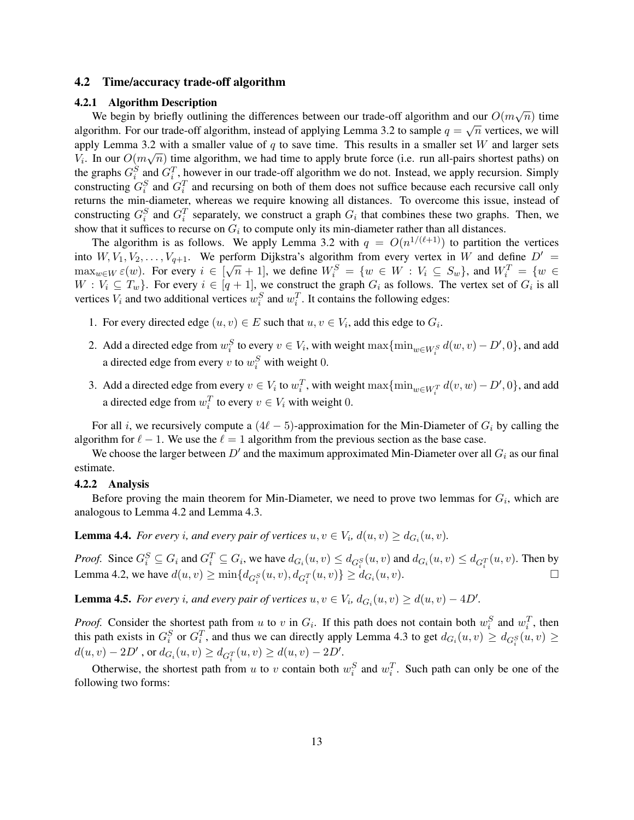## 4.2 Time/accuracy trade-off algorithm

## 4.2.1 Algorithm Description

We begin by briefly outlining the differences between our trade-off algorithm and our  $O(m\sqrt{n})$  time we begin by brieny outnining the differences between our trade-off algorithm and our  $O(m\sqrt{n})$  three algorithm. For our trade-off algorithm, instead of applying Lemma 3.2 to sample  $q = \sqrt{n}$  vertices, we will apply Lemma 3.2 with a smaller value of q to save time. This results in a smaller set W and larger sets  $V_i$ . In our  $O(m\sqrt{n})$  time algorithm, we had time to apply brute force (i.e. run all-pairs shortest paths) on the graphs  $G_i^S$  and  $G_i^T$ , however in our trade-off algorithm we do not. Instead, we apply recursion. Simply constructing  $G_i^S$  and  $G_i^T$  and recursing on both of them does not suffice because each recursive call only returns the min-diameter, whereas we require knowing all distances. To overcome this issue, instead of constructing  $G_i^S$  and  $G_i^T$  separately, we construct a graph  $G_i$  that combines these two graphs. Then, we show that it suffices to recurse on  $G_i$  to compute only its min-diameter rather than all distances.

The algorithm is as follows. We apply Lemma 3.2 with  $q = O(n^{1/(\ell+1)})$  to partition the vertices into  $W, V_1, V_2, \ldots, V_{q+1}$ . We perform Dijkstra's algorithm from every vertex in W and define  $D' =$  $\max_{w \in W} \varepsilon(w)$ . For every  $i \in [\sqrt{n} + 1]$ , we define  $W_i^S = \{w \in W : V_i \subseteq S_w\}$ , and  $W_i^T = \{w \in S_w\}$  $W: V_i \subseteq T_w$ . For every  $i \in [q + 1]$ , we construct the graph  $G_i$  as follows. The vertex set of  $G_i$  is all vertices  $V_i$  and two additional vertices  $w_i^S$  and  $w_i^T$ . It contains the following edges:

- 1. For every directed edge  $(u, v) \in E$  such that  $u, v \in V_i$ , add this edge to  $G_i$ .
- 2. Add a directed edge from  $w_i^S$  to every  $v \in V_i$ , with weight  $\max\{\min_{w \in W_i^S} d(w, v) D', 0\}$ , and add a directed edge from every v to  $w_i^S$  with weight 0.
- 3. Add a directed edge from every  $v \in V_i$  to  $w_i^T$ , with weight  $\max\{\min_{w \in W_i^T} d(v, w) D', 0\}$ , and add a directed edge from  $w_i^T$  to every  $v \in V_i$  with weight 0.

For all i, we recursively compute a  $(4\ell - 5)$ -approximation for the Min-Diameter of  $G_i$  by calling the algorithm for  $\ell - 1$ . We use the  $\ell = 1$  algorithm from the previous section as the base case.

We choose the larger between  $D'$  and the maximum approximated Min-Diameter over all  $G_i$  as our final estimate.

#### 4.2.2 Analysis

Before proving the main theorem for Min-Diameter, we need to prove two lemmas for  $G_i$ , which are analogous to Lemma 4.2 and Lemma 4.3.

**Lemma 4.4.** For every *i*, and every pair of vertices  $u, v \in V_i$ ,  $d(u, v) \geq d_{G_i}(u, v)$ .

*Proof.* Since  $G_i^S \subseteq G_i$  and  $G_i^T \subseteq G_i$ , we have  $d_{G_i}(u, v) \leq d_{G_i^S}(u, v)$  and  $d_{G_i}(u, v) \leq d_{G_i^T}(u, v)$ . Then by Lemma 4.2, we have  $d(u, v) \ge \min\{d_{G_i^S}(u, v), d_{G_i^T}(u, v)\} \ge d_{G_i}(u, v)$ .

**Lemma 4.5.** *For every i, and every pair of vertices*  $u, v \in V_i$ ,  $d_{G_i}(u, v) \ge d(u, v) - 4D'$ .

*Proof.* Consider the shortest path from u to v in  $G_i$ . If this path does not contain both  $w_i^S$  and  $w_i^T$ , then this path exists in  $G_i^S$  or  $G_i^T$ , and thus we can directly apply Lemma 4.3 to get  $d_{G_i}(u, v) \ge d_{G_i^S}(u, v) \ge$  $d(u, v) - 2D'$ , or  $d_{G_i}(u, v) \ge d_{G_i^T}(u, v) \ge d(u, v) - 2D'$ .

Otherwise, the shortest path from u to v contain both  $w_i^S$  and  $w_i^T$ . Such path can only be one of the following two forms: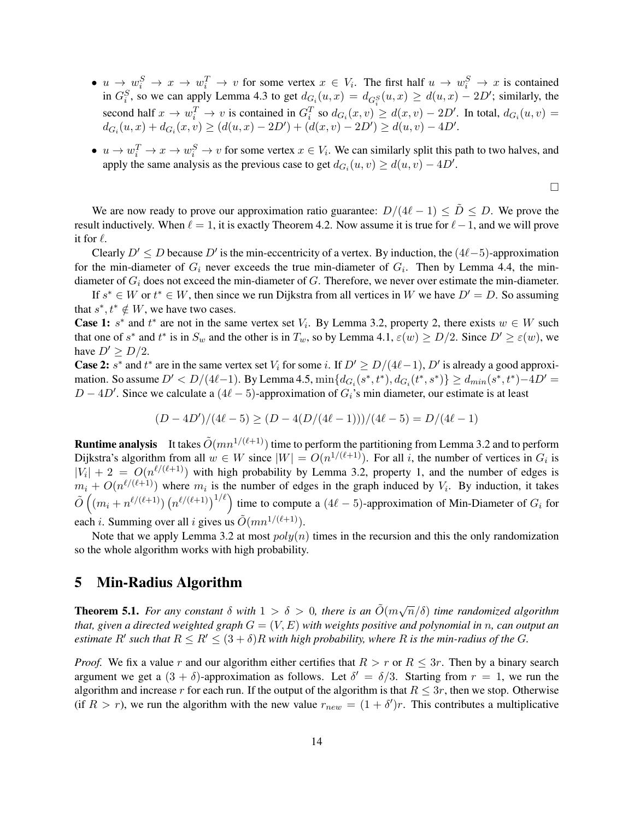- $u \to w_i^S \to x \to w_i^T \to v$  for some vertex  $x \in V_i$ . The first half  $u \to w_i^S \to x$  is contained in  $G_i^S$ , so we can apply Lemma 4.3 to get  $d_{G_i}(u, x) = d_{G_i^S}(u, x) \ge d(u, x) - 2D'$ ; similarly, the second half  $x \to w_i^T \to v$  is contained in  $G_i^T$  so  $d_{G_i}(x, v) \ge d(x, v) - 2D'$ . In total,  $d_{G_i}(u, v) =$  $d_{G_i}(u, x) + d_{G_i}(x, v) \ge (d(u, x) - 2D') + (d(x, v) - 2D') \ge d(u, v) - 4D'.$
- $u \to w_i^T \to x \to w_i^S \to v$  for some vertex  $x \in V_i$ . We can similarly split this path to two halves, and apply the same analysis as the previous case to get  $d_{G_i}(u, v) \ge d(u, v) - 4D'$ .

$$
\Box
$$

We are now ready to prove our approximation ratio guarantee:  $D/(4\ell - 1) \leq \tilde{D} \leq D$ . We prove the result inductively. When  $\ell = 1$ , it is exactly Theorem 4.2. Now assume it is true for  $\ell - 1$ , and we will prove it for  $\ell$ .

Clearly  $D' \le D$  because  $D'$  is the min-eccentricity of a vertex. By induction, the  $(4\ell-5)$ -approximation for the min-diameter of  $G_i$  never exceeds the true min-diameter of  $G_i$ . Then by Lemma 4.4, the mindiameter of  $G_i$  does not exceed the min-diameter of  $G$ . Therefore, we never over estimate the min-diameter.

If  $s^* \in W$  or  $t^* \in W$ , then since we run Dijkstra from all vertices in W we have  $D' = D$ . So assuming that  $s^*, t^* \notin W$ , we have two cases.

**Case 1:**  $s^*$  and  $t^*$  are not in the same vertex set  $V_i$ . By Lemma 3.2, property 2, there exists  $w \in W$  such that one of  $s^*$  and  $t^*$  is in  $S_w$  and the other is in  $T_w$ , so by Lemma 4.1,  $\varepsilon(w) \ge D/2$ . Since  $D' \ge \varepsilon(w)$ , we have  $D' \ge D/2$ .

**Case 2:** s<sup>\*</sup> and t<sup>\*</sup> are in the same vertex set  $V_i$  for some i. If  $D' \ge D/(4\ell-1)$ ,  $D'$  is already a good approximation. So assume  $D' < D/(4\ell-1)$ . By Lemma 4.5,  $\min\{d_{G_i}(s^*, t^*), d_{G_i}(t^*, s^*)\} \ge d_{min}(s^*, t^*) - 4D' =$  $D - 4D'$ . Since we calculate a  $(4\ell - 5)$ -approximation of  $G_i$ 's min diameter, our estimate is at least

$$
(D-4D')/(4\ell-5) \ge (D-4(D/(4\ell-1)))/(4\ell-5) = D/(4\ell-1)
$$

**Runtime analysis** It takes  $\tilde{O}(mn^{1/(\ell+1)})$  time to perform the partitioning from Lemma 3.2 and to perform Dijkstra's algorithm from all  $w \in W$  since  $|W| = O(n^{1/(\ell+1)})$ . For all i, the number of vertices in  $G_i$  is  $|V_i| + 2 = O(n^{\ell/(\ell+1)})$  with high probability by Lemma 3.2, property 1, and the number of edges is  $m_i + O(n^{\ell/(\ell+1)})$  where  $m_i$  is the number of edges in the graph induced by  $V_i$ . By induction, it takes  $\tilde{O}((m_i + n^{\ell/(\ell+1)}) (n^{\ell/(\ell+1)})^{1/\ell})$  time to compute a  $(4\ell - 5)$ -approximation of Min-Diameter of  $G_i$  for each *i*. Summing over all *i* gives us  $\tilde{O}(mn^{1/(\ell+1)})$ .

Note that we apply Lemma 3.2 at most  $poly(n)$  times in the recursion and this the only randomization so the whole algorithm works with high probability.

# 5 Min-Radius Algorithm

**Theorem 5.1.** For any constant  $\delta$  with  $1 > \delta > 0$ , there is an  $\tilde{O}(m\sqrt{n}/\delta)$  time randomized algorithm *that, given a directed weighted graph* G = (V, E) *with weights positive and polynomial in* n*, can output an estimate*  $R'$  such that  $R \leq R' \leq (3 + \delta)R$  with high probability, where R is the min-radius of the G.

*Proof.* We fix a value r and our algorithm either certifies that  $R > r$  or  $R \leq 3r$ . Then by a binary search argument we get a  $(3 + \delta)$ -approximation as follows. Let  $\delta' = \delta/3$ . Starting from  $r = 1$ , we run the algorithm and increase r for each run. If the output of the algorithm is that  $R \leq 3r$ , then we stop. Otherwise (if  $R > r$ ), we run the algorithm with the new value  $r_{new} = (1 + \delta')r$ . This contributes a multiplicative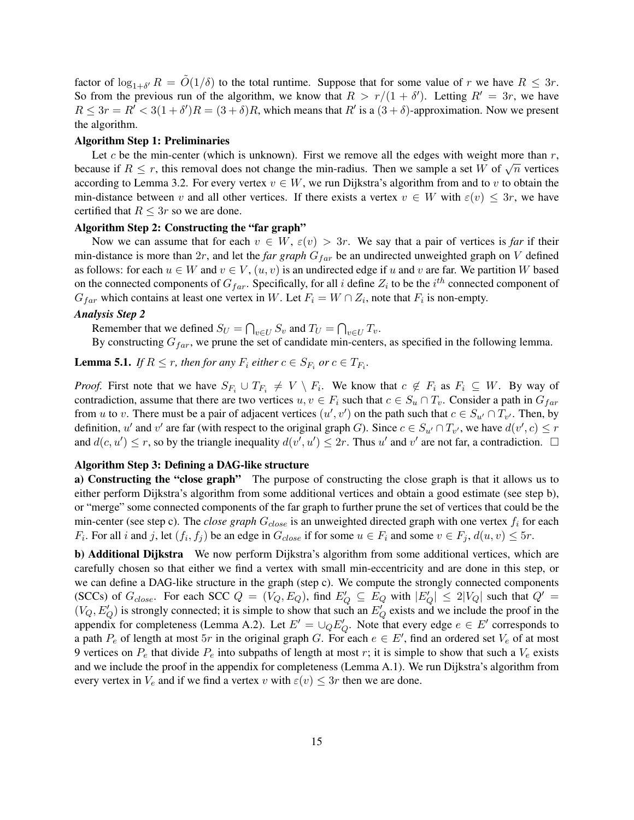factor of  $\log_{1+\delta'} R = \tilde{O}(1/\delta)$  to the total runtime. Suppose that for some value of r we have  $R \leq 3r$ . So from the previous run of the algorithm, we know that  $R > r/(1 + \delta')$ . Letting  $R' = 3r$ , we have  $R \leq 3r = R' < 3(1 + \delta')R = (3 + \delta)R$ , which means that  $R'$  is a  $(3 + \delta)$ -approximation. Now we present the algorithm.

#### Algorithm Step 1: Preliminaries

Let c be the min-center (which is unknown). First we remove all the edges with weight more than  $r$ , because if  $R \le r$ , this removal does not change the min-radius. Then we sample a set W of  $\sqrt{n}$  vertices according to Lemma 3.2. For every vertex  $v \in W$ , we run Dijkstra's algorithm from and to v to obtain the min-distance between v and all other vertices. If there exists a vertex  $v \in W$  with  $\varepsilon(v) \leq 3r$ , we have certified that  $R \leq 3r$  so we are done.

#### Algorithm Step 2: Constructing the "far graph"

Now we can assume that for each  $v \in W$ ,  $\varepsilon(v) > 3r$ . We say that a pair of vertices is *far* if their min-distance is more than  $2r$ , and let the *far graph*  $G<sub>far</sub>$  be an undirected unweighted graph on V defined as follows: for each  $u \in W$  and  $v \in V$ ,  $(u, v)$  is an undirected edge if u and v are far. We partition W based on the connected components of  $G_{far}$ . Specifically, for all i define  $Z_i$  to be the i<sup>th</sup> connected component of  $G_{far}$  which contains at least one vertex in W. Let  $F_i = W \cap Z_i$ , note that  $F_i$  is non-empty.

#### *Analysis Step 2*

Remember that we defined  $S_U = \bigcap_{v \in U} S_v$  and  $T_U = \bigcap_{v \in U} T_v$ .

By constructing  $G<sub>far</sub>$ , we prune the set of candidate min-centers, as specified in the following lemma.

**Lemma 5.1.** *If*  $R \le r$ , then for any  $F_i$  either  $c \in S_{F_i}$  or  $c \in T_{F_i}$ .

*Proof.* First note that we have  $S_{F_i} \cup T_{F_i} \neq V \setminus F_i$ . We know that  $c \notin F_i$  as  $F_i \subseteq W$ . By way of contradiction, assume that there are two vertices  $u, v \in F_i$  such that  $c \in S_u \cap T_v$ . Consider a path in  $G_{far}$ from u to v. There must be a pair of adjacent vertices  $(u', v')$  on the path such that  $c \in S_{u'} \cap T_{v'}$ . Then, by definition, u' and v' are far (with respect to the original graph G). Since  $c \in S_{u'} \cap T_{v'}$ , we have  $d(v', c) \le r$ and  $d(c, u') \leq r$ , so by the triangle inequality  $d(v', u') \leq 2r$ . Thus u' and v' are not far, a contradiction.  $\Box$ 

#### Algorithm Step 3: Defining a DAG-like structure

a) Constructing the "close graph" The purpose of constructing the close graph is that it allows us to either perform Dijkstra's algorithm from some additional vertices and obtain a good estimate (see step b), or "merge" some connected components of the far graph to further prune the set of vertices that could be the min-center (see step c). The *close graph*  $G_{close}$  is an unweighted directed graph with one vertex  $f_i$  for each  $F_i$ . For all i and j, let  $(f_i, f_j)$  be an edge in  $G_{close}$  if for some  $u \in F_i$  and some  $v \in F_j$ ,  $d(u, v) \leq 5r$ .

b) Additional Dijkstra We now perform Dijkstra's algorithm from some additional vertices, which are carefully chosen so that either we find a vertex with small min-eccentricity and are done in this step, or we can define a DAG-like structure in the graph (step c). We compute the strongly connected components (SCCs) of  $G_{close}$ . For each SCC  $Q = (V_Q, E_Q)$ , find  $E'_Q \subseteq E_Q$  with  $|E'_Q| \le 2|V_Q|$  such that  $Q' =$  $(V_Q, E_Q')$  is strongly connected; it is simple to show that such an  $E_Q'$  exists and we include the proof in the appendix for completeness (Lemma A.2). Let  $E' = \cup_Q E'_Q$ . Note that every edge  $e \in E'$  corresponds to a path  $P_e$  of length at most  $5r$  in the original graph G. For each  $e \in E'$ , find an ordered set  $V_e$  of at most 9 vertices on  $P_e$  that divide  $P_e$  into subpaths of length at most r; it is simple to show that such a  $V_e$  exists and we include the proof in the appendix for completeness (Lemma A.1). We run Dijkstra's algorithm from every vertex in  $V_e$  and if we find a vertex v with  $\varepsilon(v) \leq 3r$  then we are done.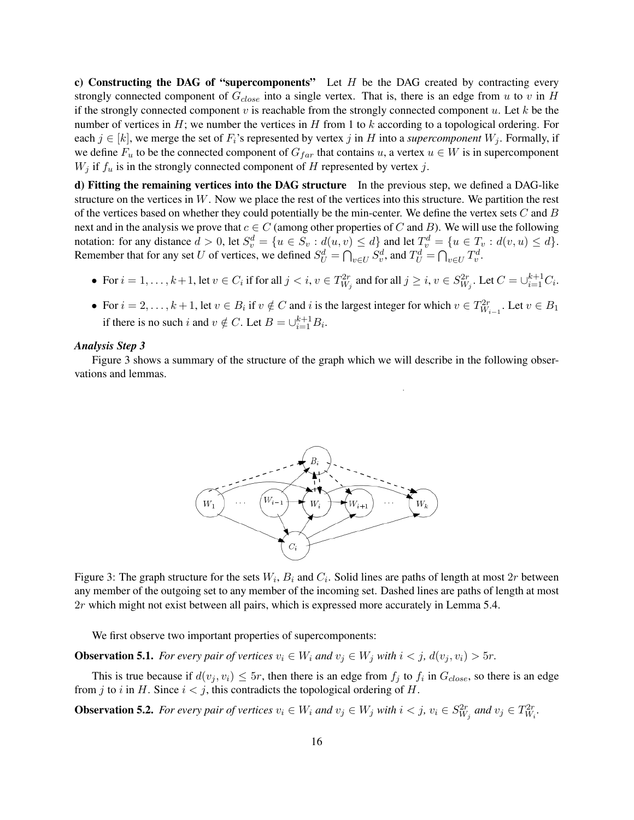c) Constructing the DAG of "supercomponents" Let  $H$  be the DAG created by contracting every strongly connected component of  $G_{close}$  into a single vertex. That is, there is an edge from u to v in H if the strongly connected component  $v$  is reachable from the strongly connected component  $u$ . Let  $k$  be the number of vertices in  $H$ ; we number the vertices in  $H$  from 1 to k according to a topological ordering. For each  $j \in [k]$ , we merge the set of  $F_i$ 's represented by vertex j in H into a *supercomponent*  $W_j$ . Formally, if we define  $F_u$  to be the connected component of  $G_{far}$  that contains u, a vertex  $u \in W$  is in supercomponent  $W_j$  if  $f_u$  is in the strongly connected component of H represented by vertex j.

d) Fitting the remaining vertices into the DAG structure In the previous step, we defined a DAG-like structure on the vertices in  $W$ . Now we place the rest of the vertices into this structure. We partition the rest of the vertices based on whether they could potentially be the min-center. We define the vertex sets  $C$  and  $B$ next and in the analysis we prove that  $c \in C$  (among other properties of C and B). We will use the following notation: for any distance  $d > 0$ , let  $S_v^d = \{u \in S_v : d(u, v) \le d\}$  and let  $T_v^d = \{u \in T_v : d(v, u) \le d\}$ . Remember that for any set U of vertices, we defined  $S_U^d = \bigcap_{v \in U} S_v^d$ , and  $T_U^d = \bigcap_{v \in U} T_v^d$ .

- For  $i = 1, \ldots, k+1$ , let  $v \in C_i$  if for all  $j < i, v \in T_{W_j}^{2r}$  and for all  $j \ge i, v \in S_{W_j}^{2r}$ . Let  $C = \cup_{i=1}^{k+1} C_i$ .
- For  $i = 2, \ldots, k+1$ , let  $v \in B_i$  if  $v \notin C$  and i is the largest integer for which  $v \in T_{W_{i-1}}^{2r}$ . Let  $v \in B_1$ if there is no such i and  $v \notin C$ . Let  $B = \bigcup_{i=1}^{k+1} B_i$ .

#### *Analysis Step 3*

Figure 3 shows a summary of the structure of the graph which we will describe in the following observations and lemmas.



Figure 3: The graph structure for the sets  $W_i$ ,  $B_i$  and  $C_i$ . Solid lines are paths of length at most  $2r$  between any member of the outgoing set to any member of the incoming set. Dashed lines are paths of length at most 2r which might not exist between all pairs, which is expressed more accurately in Lemma 5.4.

We first observe two important properties of supercomponents:

**Observation 5.1.** *For every pair of vertices*  $v_i \in W_i$  *and*  $v_j \in W_j$  *with*  $i < j$ *,*  $d(v_i, v_i) > 5r$ *.* 

This is true because if  $d(v_j, v_i) \le 5r$ , then there is an edge from  $f_j$  to  $f_i$  in  $G_{close}$ , so there is an edge from j to i in H. Since  $i < j$ , this contradicts the topological ordering of H.

**Observation 5.2.** For every pair of vertices  $v_i \in W_i$  and  $v_j \in W_j$  with  $i < j$ ,  $v_i \in S_{W_j}^{2r}$  and  $v_j \in T_{W_i}^{2r}$ .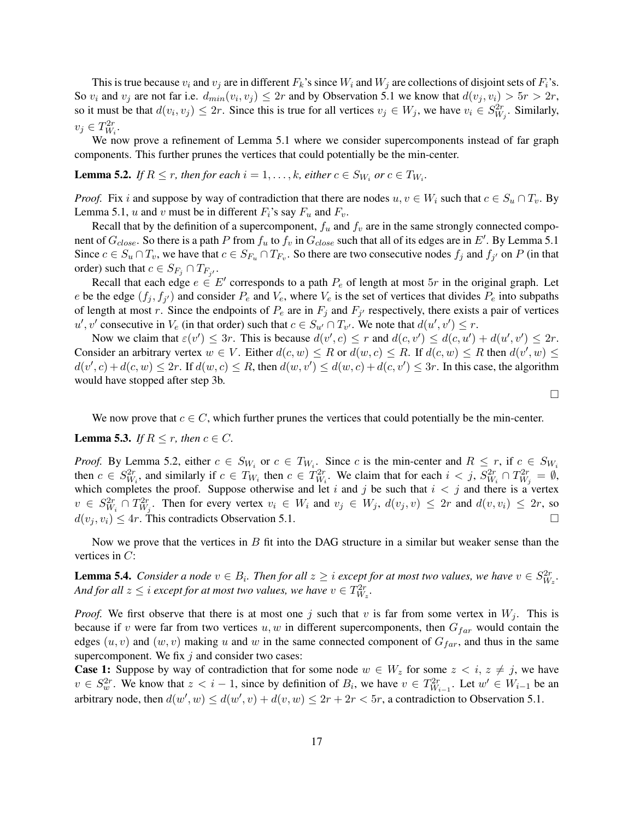This is true because  $v_i$  and  $v_j$  are in different  $F_k$ 's since  $W_i$  and  $W_j$  are collections of disjoint sets of  $F_i$ 's. So  $v_i$  and  $v_j$  are not far i.e.  $d_{min}(v_i, v_j) \le 2r$  and by Observation 5.1 we know that  $d(v_j, v_i) > 5r > 2r$ , so it must be that  $d(v_i, v_j) \le 2r$ . Since this is true for all vertices  $v_j \in W_j$ , we have  $v_i \in S_{W_j}^{2r}$ . Similarly,  $v_j \in T_{W_i}^{2r}$ .

We now prove a refinement of Lemma 5.1 where we consider supercomponents instead of far graph components. This further prunes the vertices that could potentially be the min-center.

**Lemma 5.2.** *If*  $R \le r$ , *then for each*  $i = 1, ..., k$ , *either*  $c \in S_{W_i}$  *or*  $c \in T_{W_i}$ .

*Proof.* Fix i and suppose by way of contradiction that there are nodes  $u, v \in W_i$  such that  $c \in S_u \cap T_v$ . By Lemma 5.1, u and v must be in different  $F_i$ 's say  $F_u$  and  $F_v$ .

Recall that by the definition of a supercomponent,  $f_u$  and  $f_v$  are in the same strongly connected component of  $G_{close}$ . So there is a path P from  $f_u$  to  $f_v$  in  $G_{close}$  such that all of its edges are in E'. By Lemma 5.1 Since  $c \in S_u \cap T_v$ , we have that  $c \in S_{F_u} \cap T_{F_v}$ . So there are two consecutive nodes  $f_j$  and  $f_{j'}$  on P (in that order) such that  $c \in S_{F_j} \cap T_{F_{j'}}$ .

Recall that each edge  $e \in E'$  corresponds to a path  $P_e$  of length at most  $5r$  in the original graph. Let e be the edge  $(f_j, f_{j'})$  and consider  $P_e$  and  $V_e$ , where  $V_e$  is the set of vertices that divides  $P_e$  into subpaths of length at most r. Since the endpoints of  $P_e$  are in  $F_j$  and  $F_{j'}$  respectively, there exists a pair of vertices  $u', v'$  consecutive in  $V_e$  (in that order) such that  $c \in S_{u'} \cap T_{v'}$ . We note that  $d(u', v') \leq r$ .

Now we claim that  $\varepsilon(v') \leq 3r$ . This is because  $d(v', c) \leq r$  and  $d(c, v') \leq d(c, u') + d(u', v') \leq 2r$ . Consider an arbitrary vertex  $w \in V$ . Either  $d(c, w) \leq R$  or  $d(w, c) \leq R$ . If  $d(c, w) \leq R$  then  $d(v', w) \leq R$  $d(v', c) + d(c, w) \le 2r$ . If  $d(w, c) \le R$ , then  $d(w, v') \le d(w, c) + d(c, v') \le 3r$ . In this case, the algorithm would have stopped after step 3b.

 $\Box$ 

We now prove that  $c \in C$ , which further prunes the vertices that could potentially be the min-center.

**Lemma 5.3.** *If*  $R \leq r$ *, then*  $c \in C$ *.* 

*Proof.* By Lemma 5.2, either  $c \in S_{W_i}$  or  $c \in T_{W_i}$ . Since c is the min-center and  $R \leq r$ , if  $c \in S_{W_i}$ then  $c \in S_{W_i}^{2r}$ , and similarly if  $c \in T_{W_i}$  then  $c \in T_{W_i}^{2r}$ . We claim that for each  $i < j$ ,  $S_{W_i}^{2r} \cap T_{W_j}^{2r} = \emptyset$ , which completes the proof. Suppose otherwise and let i and j be such that  $i < j$  and there is a vertex  $v \in S_{W_i}^{2r} \cap T_{W_j}^{2r}$ . Then for every vertex  $v_i \in W_i$  and  $v_j \in W_j$ ,  $d(v_j, v) \le 2r$  and  $d(v, v_i) \le 2r$ , so  $d(v_i, v_i) \leq 4r$ . This contradicts Observation 5.1.

Now we prove that the vertices in  $B$  fit into the DAG structure in a similar but weaker sense than the vertices in  $C$ :

**Lemma 5.4.** Consider a node  $v \in B_i$ . Then for all  $z \geq i$  except for at most two values, we have  $v \in S_{W_z}^{2r}$ . And for all  $z \leq i$  except for at most two values, we have  $v \in T^{2r}_{W_z}$ .

*Proof.* We first observe that there is at most one j such that v is far from some vertex in  $W_j$ . This is because if v were far from two vertices u, w in different supercomponents, then  $G_{far}$  would contain the edges  $(u, v)$  and  $(w, v)$  making u and w in the same connected component of  $G_{far}$ , and thus in the same supercomponent. We fix  $j$  and consider two cases:

**Case 1:** Suppose by way of contradiction that for some node  $w \in W_z$  for some  $z \le i$ ,  $z \ne j$ , we have  $v \in S_w^{2r}$ . We know that  $z < i - 1$ , since by definition of  $B_i$ , we have  $v \in T_{W_{i-1}}^{2r}$ . Let  $w' \in W_{i-1}$  be an arbitrary node, then  $d(w', w) \leq d(w', v) + d(v, w) \leq 2r + 2r < 5r$ , a contradiction to Observation 5.1.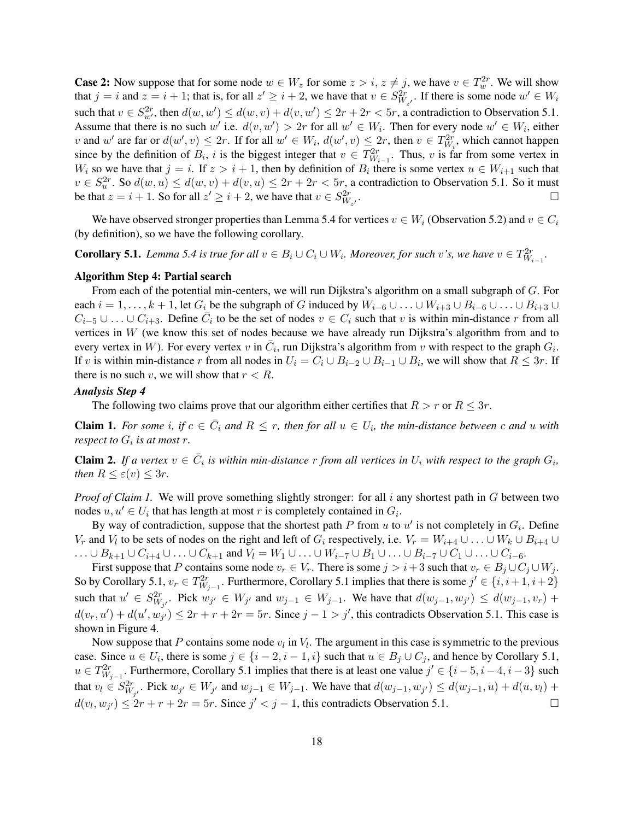**Case 2:** Now suppose that for some node  $w \in W_z$  for some  $z > i$ ,  $z \neq j$ , we have  $v \in T_w^{2r}$ . We will show that  $j = i$  and  $z = i + 1$ ; that is, for all  $z' \geq i + 2$ , we have that  $v \in S_{W_{z'}}^{2r}$ . If there is some node  $w' \in W_i$ such that  $v \in S_{w'}^{2r}$ , then  $d(w, w') \le d(w, v) + d(v, w') \le 2r + 2r < 5r$ , a contradiction to Observation 5.1. Assume that there is no such w' i.e.  $d(v, w') > 2r$  for all  $w' \in W_i$ . Then for every node  $w' \in W_i$ , either v and w' are far or  $d(w', v) \le 2r$ . If for all  $w' \in W_i$ ,  $d(w', v) \le 2r$ , then  $v \in T_{W_i}^{2r}$ , which cannot happen since by the definition of  $B_i$ , i is the biggest integer that  $v \in T_{W_{i-1}}^{2r}$ . Thus, v is far from some vertex in  $W_i$  so we have that  $j = i$ . If  $z > i + 1$ , then by definition of  $B_i$  there is some vertex  $u \in W_{i+1}$  such that  $v \in S_u^{2r}$ . So  $d(w, u) \le d(w, v) + d(v, u) \le 2r + 2r < 5r$ , a contradiction to Observation 5.1. So it must be that  $z = i + 1$ . So for all  $z' \geq i + 2$ , we have that  $v \in S^{2r}_{W_{z'}}$ .

We have observed stronger properties than Lemma 5.4 for vertices  $v \in W_i$  (Observation 5.2) and  $v \in C_i$ (by definition), so we have the following corollary.

# **Corollary 5.1.** Lemma 5.4 is true for all  $v \in B_i \cup C_i \cup W_i$ . Moreover, for such v's, we have  $v \in T^{2r}_{W_{i-1}}$ .

#### Algorithm Step 4: Partial search

From each of the potential min-centers, we will run Dijkstra's algorithm on a small subgraph of G. For each  $i = 1, \ldots, k + 1$ , let  $G_i$  be the subgraph of G induced by  $W_{i-6} \cup \ldots \cup W_{i+3} \cup B_{i-6} \cup \ldots \cup B_{i+3} \cup$  $C_{i-5} \cup \ldots \cup C_{i+3}$ . Define  $\overline{C_i}$  to be the set of nodes  $v \in C_i$  such that v is within min-distance r from all vertices in  $W$  (we know this set of nodes because we have already run Dijkstra's algorithm from and to every vertex in W). For every vertex v in  $\overline{C_i}$ , run Dijkstra's algorithm from v with respect to the graph  $G_i$ . If v is within min-distance r from all nodes in  $U_i = C_i \cup B_{i-2} \cup B_{i-1} \cup B_i$ , we will show that  $R \le 3r$ . If there is no such v, we will show that  $r < R$ .

## *Analysis Step 4*

The following two claims prove that our algorithm either certifies that  $R > r$  or  $R \leq 3r$ .

**Claim 1.** For some i, if  $c \in \overline{C}_i$  and  $R \leq r$ , then for all  $u \in U_i$ , the min-distance between c and u with *respect to*  $G_i$  *is at most r.* 

**Claim 2.** If a vertex  $v \in \overline{C}_i$  is within min-distance r from all vertices in  $U_i$  with respect to the graph  $G_i$ , *then*  $R \leq \varepsilon(v) \leq 3r$ *.* 

*Proof of Claim 1.* We will prove something slightly stronger: for all i any shortest path in G between two nodes  $u, u' \in U_i$  that has length at most r is completely contained in  $G_i$ .

By way of contradiction, suppose that the shortest path P from  $u$  to  $u'$  is not completely in  $G_i$ . Define  $V_r$  and  $V_l$  to be sets of nodes on the right and left of  $G_i$  respectively, i.e.  $V_r = W_{i+4} \cup \ldots \cup W_k \cup B_{i+4} \cup \ldots$  $\ldots \cup B_{k+1} \cup C_{i+4} \cup \ldots \cup C_{k+1}$  and  $V_l = W_1 \cup \ldots \cup W_{i-7} \cup B_1 \cup \ldots \cup B_{i-7} \cup C_1 \cup \ldots \cup C_{i-6}$ .

First suppose that P contains some node  $v_r \in V_r$ . There is some  $j > i+3$  such that  $v_r \in B_j \cup C_j \cup W_j$ . So by Corollary 5.1,  $v_r \in T^{2r}_{W_{j-1}}$ . Furthermore, Corollary 5.1 implies that there is some  $j' \in \{i, i+1, i+2\}$ such that  $u' \in S_{W_{j'}}^{2r}$ . Pick  $w_{j'} \in W_{j'}$  and  $w_{j-1} \in W_{j-1}$ . We have that  $d(w_{j-1}, w_{j'}) \le d(w_{j-1}, v_r) +$  $d(v_r, u') + d(u', w_{j'}) \le 2r + r + 2r = 5r$ . Since  $j - 1 > j'$ , this contradicts Observation 5.1. This case is shown in Figure 4.

Now suppose that P contains some node  $v_l$  in  $V_l$ . The argument in this case is symmetric to the previous case. Since  $u \in U_i$ , there is some  $j \in \{i-2, i-1, i\}$  such that  $u \in B_j \cup C_j$ , and hence by Corollary 5.1,  $u \in T^{2r}_{W_{j-1}}$ . Furthermore, Corollary 5.1 implies that there is at least one value  $j' \in \{i-5, i-4, i-3\}$  such that  $v_l \in S_{W_{j'}}^{2r}$ . Pick  $w_{j'} \in W_{j'}$  and  $w_{j-1} \in W_{j-1}$ . We have that  $d(w_{j-1}, w_{j'}) \le d(w_{j-1}, u) + d(u, v_l) + d(v, v_l)$  $d(v_l, w_{j'}) \leq 2r + r + 2r = 5r$ . Since  $j' < j - 1$ , this contradicts Observation 5.1.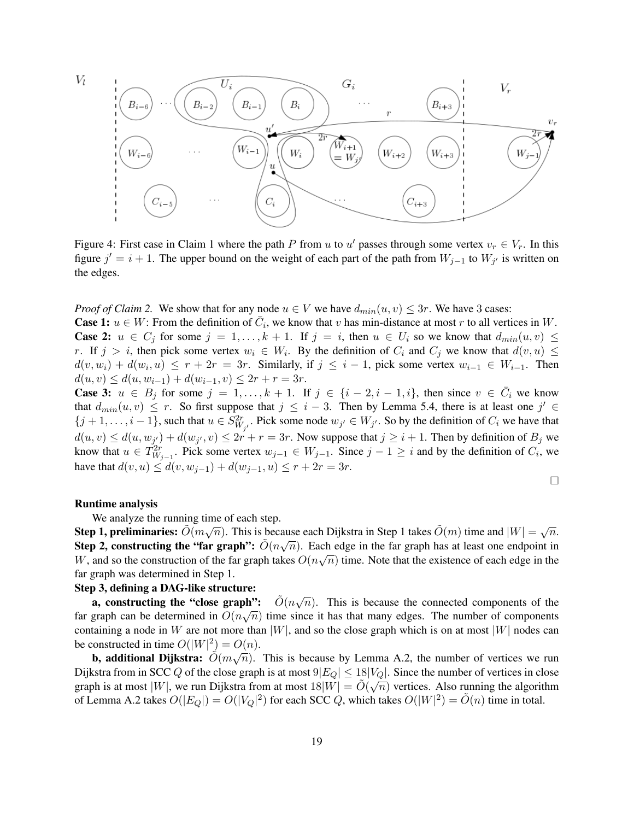$V_l$ 



Figure 4: First case in Claim 1 where the path P from u to u' passes through some vertex  $v_r \in V_r$ . In this figure  $j' = i + 1$ . The upper bound on the weight of each part of the path from  $W_{j-1}$  to  $W_{j'}$  is written on the edges.

*Proof of Claim 2.* We show that for any node  $u \in V$  we have  $d_{min}(u, v) \leq 3r$ . We have 3 cases:

**Case 1:**  $u \in W$ : From the definition of  $\overline{C}_i$ , we know that v has min-distance at most r to all vertices in W. **Case 2:**  $u \in C_j$  for some  $j = 1, ..., k + 1$ . If  $j = i$ , then  $u \in U_i$  so we know that  $d_{min}(u, v) \leq$ r. If  $j > i$ , then pick some vertex  $w_i \in W_i$ . By the definition of  $C_i$  and  $C_j$  we know that  $d(v, u) \leq$  $d(v, w_i) + d(w_i, u) \leq r + 2r = 3r$ . Similarly, if  $j \leq i - 1$ , pick some vertex  $w_{i-1} \in W_{i-1}$ . Then  $d(u, v) \leq d(u, w_{i-1}) + d(w_{i-1}, v) \leq 2r + r = 3r.$ 

**Case 3:**  $u \in B_j$  for some  $j = 1, ..., k + 1$ . If  $j \in \{i - 2, i - 1, i\}$ , then since  $v \in \overline{C}_i$  we know that  $d_{min}(u, v) \leq r$ . So first suppose that  $j \leq i - 3$ . Then by Lemma 5.4, there is at least one  $j' \in$  $\{j+1,\ldots,i-1\}$ , such that  $u \in S^2^r_{W_{j'}}$ . Pick some node  $w_{j'} \in W_{j'}$ . So by the definition of  $C_i$  we have that  $d(u, v) \leq d(u, w_{j'}) + d(w_{j'}, v) \leq 2r + r = 3r$ . Now suppose that  $j \geq i + 1$ . Then by definition of  $B_j$  we know that  $u \in \overline{T}_{W_{j-1}}^{2r}$ . Pick some vertex  $w_{j-1} \in W_{j-1}$ . Since  $j-1 \geq i$  and by the definition of  $C_i$ , we have that  $d(v, u) \leq d(v, w_{i-1}) + d(w_{i-1}, u) \leq r + 2r = 3r$ .

$$
\Box
$$

#### Runtime analysis

We analyze the running time of each step.

Step 1, preliminaries:  $\tilde{O}(m\sqrt{n})$ . This is because each Dijkstra in Step 1 takes  $\tilde{O}(m)$  time and  $|W| = \sqrt{n}$ . Step 1, premimaries.  $O(m\sqrt{n})$ . This is because each Dijksua in step 1 takes  $O(m)$  thie and  $|W| = \sqrt{n}$ .<br>Step 2, constructing the "far graph":  $\tilde{O}(n\sqrt{n})$ . Each edge in the far graph has at least one endpoint in W, and so the construction of the far graph takes  $O(n\sqrt{n})$  time. Note that the existence of each edge in the far graph was determined in Step 1.

### Step 3, defining a DAG-like structure:

a, constructing the "close graph":  $\tilde{O}(n)$  $\sqrt{n}$ ). This is because the connected components of the far graph can be determined in  $O(n\sqrt{n})$  time since it has that many edges. The number of components containing a node in W are not more than  $|W|$ , and so the close graph which is on at most  $|W|$  nodes can be constructed in time  $O(|W|^2) = O(n)$ .

**b, additional Dijkstra:**  $\tilde{O}(m\sqrt{n})$ . This is because by Lemma A.2, the number of vertices we run Dijkstra from in SCC Q of the close graph is at most  $9|E_Q| \le 18|V_Q|$ . Since the number of vertices in close graph is at most  $|W|$ , we run Dijkstra from at most  $18|W| = \tilde{O}(\sqrt{n})$  vertices. Also running the algorithm of Lemma A.2 takes  $O(|E_Q|) = O(|V_Q|^2)$  for each SCC Q, which takes  $O(|W|^2) = \tilde{O}(n)$  time in total.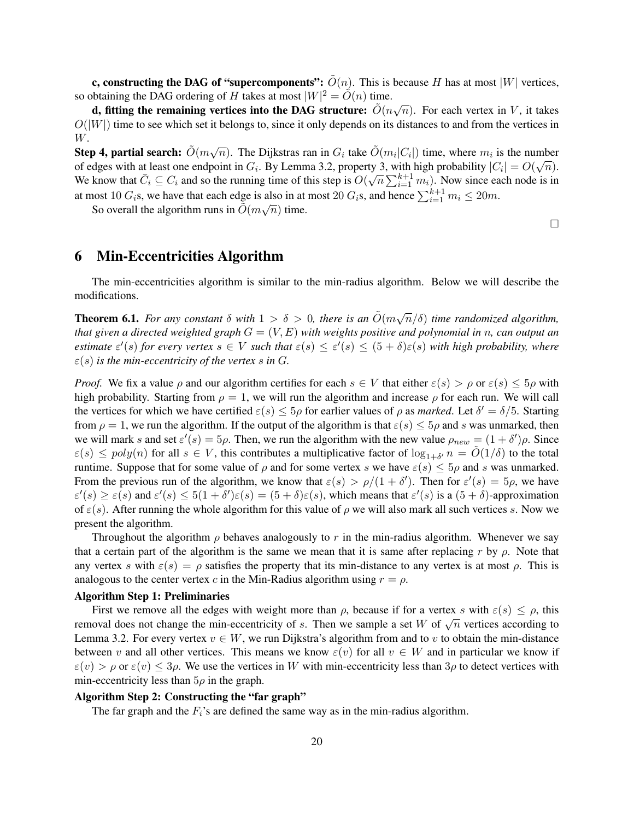c, constructing the DAG of "supercomponents":  $\tilde{O}(n)$ . This is because H has at most |W| vertices, so obtaining the DAG ordering of H takes at most  $|W|^2 = \tilde{O}(n)$  time.

becoming the DAG of definition  $H$  takes at most  $|W| = O(n)$  time.<br> **d, fitting the remaining vertices into the DAG structure:**  $\tilde{O}(n\sqrt{n})$ . For each vertex in V, it takes  $O(|W|)$  time to see which set it belongs to, since it only depends on its distances to and from the vertices in W.

Step 4, partial search:  $\tilde{O}(m\sqrt{n})$ . The Dijkstras ran in  $G_i$  take  $\tilde{O}(m_i|C_i|)$  time, where  $m_i$  is the number step 4, partial search.  $O(m\sqrt{n})$ . The Dijkstras fan in  $G_i$  take  $O(m_i|C_i|)$  time, where  $m_i$  is the number of edges with at least one endpoint in  $G_i$ . By Lemma 3.2, property 3, with high probability  $|C_i| = O(\sqrt{n})$ . We know that  $\bar{C}_i \subseteq C_i$  and so the running time of this step is  $O(\sqrt{n} \sum_{i=1}^{k+1} m_i)$ . Now since each node is in at most 10  $G_i$ s, we have that each edge is also in at most 20  $G_i$ s, and hence  $\sum_{i=1}^{k+1} m_i \le 20m$ .

So overall the algorithm runs in  $\tilde{O}(m\sqrt{n})$  time.

 $\Box$ 

# 6 Min-Eccentricities Algorithm

The min-eccentricities algorithm is similar to the min-radius algorithm. Below we will describe the modifications.

**Theorem 6.1.** For any constant  $\delta$  with  $1 > \delta > 0$ , there is an  $\tilde{O}(m\sqrt{n}/\delta)$  time randomized algorithm, *that given a directed weighted graph* G = (V, E) *with weights positive and polynomial in* n*, can output an estimate*  $\varepsilon'(s)$  *for every vertex*  $s \in V$  *such that*  $\varepsilon(s) \leq \varepsilon'(s) \leq (5+\delta)\varepsilon(s)$  *with high probability, where*  $\varepsilon(s)$  *is the min-eccentricity of the vertex s in G.* 

*Proof.* We fix a value  $\rho$  and our algorithm certifies for each  $s \in V$  that either  $\varepsilon(s) > \rho$  or  $\varepsilon(s) \leq 5\rho$  with high probability. Starting from  $\rho = 1$ , we will run the algorithm and increase  $\rho$  for each run. We will call the vertices for which we have certified  $\varepsilon(s) \le 5\rho$  for earlier values of  $\rho$  as *marked*. Let  $\delta' = \delta/5$ . Starting from  $\rho = 1$ , we run the algorithm. If the output of the algorithm is that  $\varepsilon(s) \leq 5\rho$  and s was unmarked, then we will mark s and set  $\varepsilon'(s) = 5\rho$ . Then, we run the algorithm with the new value  $\rho_{new} = (1 + \delta')\rho$ . Since  $\varepsilon(s) \leq poly(n)$  for all  $s \in V$ , this contributes a multiplicative factor of  $\log_{1+\delta'} n = \tilde{O}(1/\delta)$  to the total runtime. Suppose that for some value of  $\rho$  and for some vertex s we have  $\varepsilon(s) \leq 5\rho$  and s was unmarked. From the previous run of the algorithm, we know that  $\varepsilon(s) > \rho/(1 + \delta')$ . Then for  $\varepsilon'(s) = 5\rho$ , we have  $\varepsilon'(s) \geq \varepsilon(s)$  and  $\varepsilon'(s) \leq 5(1+\delta')\varepsilon(s) = (5+\delta)\varepsilon(s)$ , which means that  $\varepsilon'(s)$  is a  $(5+\delta)$ -approximation of  $\varepsilon(s)$ . After running the whole algorithm for this value of  $\rho$  we will also mark all such vertices s. Now we present the algorithm.

Throughout the algorithm  $\rho$  behaves analogously to r in the min-radius algorithm. Whenever we say that a certain part of the algorithm is the same we mean that it is same after replacing r by  $\rho$ . Note that any vertex s with  $\varepsilon(s) = \rho$  satisfies the property that its min-distance to any vertex is at most  $\rho$ . This is analogous to the center vertex c in the Min-Radius algorithm using  $r = \rho$ .

#### Algorithm Step 1: Preliminaries

First we remove all the edges with weight more than  $\rho$ , because if for a vertex s with  $\varepsilon(s) \leq \rho$ , this rust we remove an the edges with weight more than  $\rho$ , because in for a vertex s with  $\varepsilon(s) \leq \rho$ , this removal does not change the min-eccentricity of s. Then we sample a set W of  $\sqrt{n}$  vertices according to Lemma 3.2. For every vertex  $v \in W$ , we run Dijkstra's algorithm from and to v to obtain the min-distance between v and all other vertices. This means we know  $\varepsilon(v)$  for all  $v \in W$  and in particular we know if  $\varepsilon(v) > \rho$  or  $\varepsilon(v) \leq 3\rho$ . We use the vertices in W with min-eccentricity less than  $3\rho$  to detect vertices with min-eccentricity less than  $5\rho$  in the graph.

# Algorithm Step 2: Constructing the "far graph"

The far graph and the  $F_i$ 's are defined the same way as in the min-radius algorithm.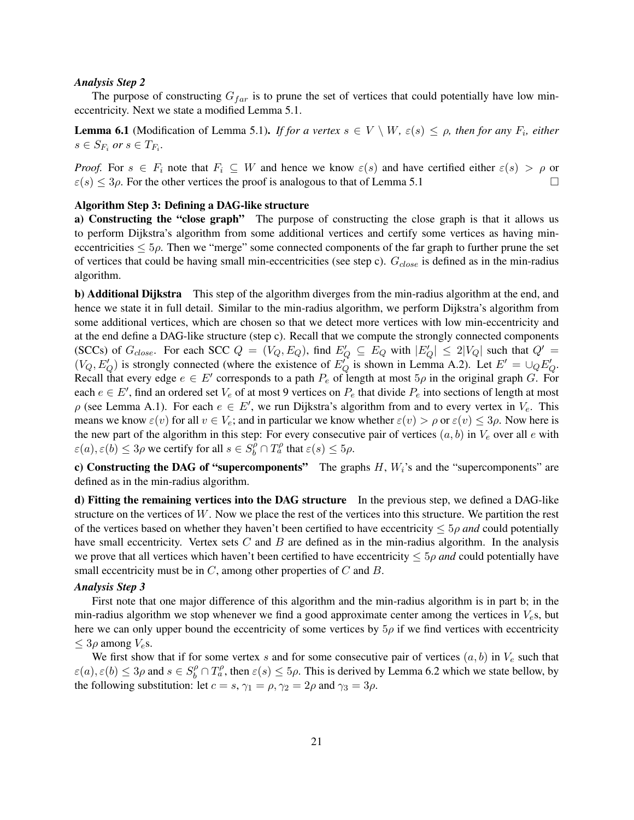#### *Analysis Step 2*

The purpose of constructing  $G_{far}$  is to prune the set of vertices that could potentially have low mineccentricity. Next we state a modified Lemma 5.1.

**Lemma 6.1** (Modification of Lemma 5.1). *If for a vertex*  $s \in V \setminus W$ ,  $\varepsilon(s) \leq \rho$ , then for any  $F_i$ , either  $s \in S_{F_i}$  or  $s \in T_{F_i}$ .

*Proof.* For  $s \in F_i$  note that  $F_i \subseteq W$  and hence we know  $\varepsilon(s)$  and have certified either  $\varepsilon(s) > \rho$  or  $\varepsilon(s) \leq 3\rho$ . For the other vertices the proof is analogous to that of Lemma 5.1

# Algorithm Step 3: Defining a DAG-like structure

a) Constructing the "close graph" The purpose of constructing the close graph is that it allows us to perform Dijkstra's algorithm from some additional vertices and certify some vertices as having mineccentricities  $\leq 5\rho$ . Then we "merge" some connected components of the far graph to further prune the set of vertices that could be having small min-eccentricities (see step c).  $G_{close}$  is defined as in the min-radius algorithm.

b) Additional Dijkstra This step of the algorithm diverges from the min-radius algorithm at the end, and hence we state it in full detail. Similar to the min-radius algorithm, we perform Dijkstra's algorithm from some additional vertices, which are chosen so that we detect more vertices with low min-eccentricity and at the end define a DAG-like structure (step c). Recall that we compute the strongly connected components (SCCs) of  $G_{close}$ . For each SCC  $Q = (V_Q, E_Q)$ , find  $E'_Q \subseteq E_Q$  with  $|E'_Q| \le 2|V_Q|$  such that  $Q' =$  $(V_Q, E'_Q)$  is strongly connected (where the existence of  $E'_Q$  is shown in Lemma A.2). Let  $E' = \bigcup_Q E'_Q$ . Recall that every edge  $e \in E'$  corresponds to a path  $P_e$  of length at most  $5\rho$  in the original graph G. For each  $e \in E'$ , find an ordered set  $V_e$  of at most 9 vertices on  $P_e$  that divide  $P_e$  into sections of length at most  $\rho$  (see Lemma A.1). For each  $e \in E'$ , we run Dijkstra's algorithm from and to every vertex in  $V_e$ . This means we know  $\varepsilon(v)$  for all  $v \in V_e$ ; and in particular we know whether  $\varepsilon(v) > \rho$  or  $\varepsilon(v) \leq 3\rho$ . Now here is the new part of the algorithm in this step: For every consecutive pair of vertices  $(a, b)$  in  $V_e$  over all e with  $\varepsilon(a), \varepsilon(b) \le 3\rho$  we certify for all  $s \in S_b^{\rho} \cap T_a^{\rho}$  that  $\varepsilon(s) \le 5\rho$ .

c) Constructing the DAG of "supercomponents" The graphs  $H$ ,  $W_i$ 's and the "supercomponents" are defined as in the min-radius algorithm.

d) Fitting the remaining vertices into the DAG structure In the previous step, we defined a DAG-like structure on the vertices of W. Now we place the rest of the vertices into this structure. We partition the rest of the vertices based on whether they haven't been certified to have eccentricity  $\leq 5\rho$  *and* could potentially have small eccentricity. Vertex sets  $C$  and  $B$  are defined as in the min-radius algorithm. In the analysis we prove that all vertices which haven't been certified to have eccentricity  $\leq 5\rho$  *and* could potentially have small eccentricity must be in  $C$ , among other properties of  $C$  and  $B$ .

#### *Analysis Step 3*

First note that one major difference of this algorithm and the min-radius algorithm is in part b; in the min-radius algorithm we stop whenever we find a good approximate center among the vertices in  $V<sub>e</sub>$ s, but here we can only upper bound the eccentricity of some vertices by  $5\rho$  if we find vertices with eccentricity  $\leq 3\rho$  among  $V_e$ s.

We first show that if for some vertex s and for some consecutive pair of vertices  $(a, b)$  in  $V_e$  such that  $\varepsilon(a), \varepsilon(b) \le 3\rho$  and  $s \in S_b^{\rho} \cap T_a^{\rho}$ , then  $\varepsilon(s) \le 5\rho$ . This is derived by Lemma 6.2 which we state bellow, by the following substitution: let  $c = s$ ,  $\gamma_1 = \rho$ ,  $\gamma_2 = 2\rho$  and  $\gamma_3 = 3\rho$ .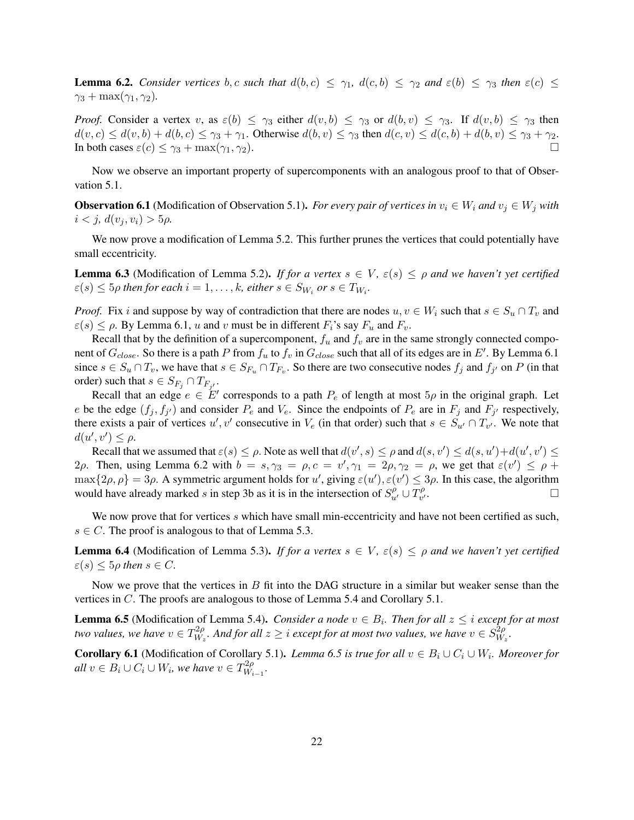**Lemma 6.2.** *Consider vertices* b, c *such that*  $d(b, c) \leq \gamma_1$ ,  $d(c, b) \leq \gamma_2$  *and*  $\varepsilon(b) \leq \gamma_3$  *then*  $\varepsilon(c) \leq$  $\gamma_3 + \max(\gamma_1, \gamma_2)$ .

*Proof.* Consider a vertex v, as  $\varepsilon(b) \leq \gamma_3$  either  $d(v, b) \leq \gamma_3$  or  $d(b, v) \leq \gamma_3$ . If  $d(v, b) \leq \gamma_3$  then  $d(v, c) \leq d(v, b) + d(b, c) \leq \gamma_3 + \gamma_1$ . Otherwise  $d(b, v) \leq \gamma_3$  then  $d(c, v) \leq d(c, b) + d(b, v) \leq \gamma_3 + \gamma_2$ . In both cases  $\varepsilon(c) \leq \gamma_3 + \max(\gamma_1, \gamma_2)$ .

Now we observe an important property of supercomponents with an analogous proof to that of Observation 5.1.

**Observation 6.1** (Modification of Observation 5.1). *For every pair of vertices in*  $v_i \in W_i$  *and*  $v_j \in W_j$  *with*  $i < j, d(v_i, v_i) > 5\rho$ .

We now prove a modification of Lemma 5.2. This further prunes the vertices that could potentially have small eccentricity.

**Lemma 6.3** (Modification of Lemma 5.2). *If for a vertex*  $s \in V$ ,  $\varepsilon(s) \leq \rho$  *and we haven't yet certified*  $\varepsilon(s) \leq 5\rho$  then for each  $i = 1, \ldots, k$ , either  $s \in S_{W_i}$  or  $s \in T_{W_i}$ .

*Proof.* Fix i and suppose by way of contradiction that there are nodes  $u, v \in W_i$  such that  $s \in S_u \cap T_v$  and  $\varepsilon(s) \leq \rho$ . By Lemma 6.1, u and v must be in different  $F_i$ 's say  $F_u$  and  $F_v$ .

Recall that by the definition of a supercomponent,  $f_u$  and  $f_v$  are in the same strongly connected component of  $G_{close}$ . So there is a path P from  $f_u$  to  $f_v$  in  $G_{close}$  such that all of its edges are in  $E'$ . By Lemma 6.1 since  $s \in S_u \cap T_v$ , we have that  $s \in S_{F_u} \cap T_{F_v}$ . So there are two consecutive nodes  $f_j$  and  $f_{j'}$  on P (in that order) such that  $s \in S_{F_j} \cap T_{F_{j'}}$ .

Recall that an edge  $e \in E'$  corresponds to a path  $P_e$  of length at most  $5\rho$  in the original graph. Let e be the edge  $(f_j, f_{j'})$  and consider  $P_e$  and  $V_e$ . Since the endpoints of  $P_e$  are in  $F_j$  and  $F_{j'}$  respectively, there exists a pair of vertices  $u', v'$  consecutive in  $V_e$  (in that order) such that  $s \in S_{u'} \cap T_{v'}$ . We note that  $d(u', v') \leq \rho.$ 

Recall that we assumed that  $\varepsilon(s) \leq \rho$ . Note as well that  $d(v', s) \leq \rho$  and  $d(s, v') \leq d(s, u') + d(u', v') \leq$ 2ρ. Then, using Lemma 6.2 with  $b = s, \gamma_3 = \rho, c = v', \gamma_1 = 2\rho, \gamma_2 = \rho$ , we get that  $\varepsilon(v') \leq \rho + \gamma_1$  $\max\{2\rho, \rho\} = 3\rho$ . A symmetric argument holds for u', giving  $\varepsilon(u')$ ,  $\varepsilon(v') \leq 3\rho$ . In this case, the algorithm would have already marked s in step 3b as it is in the intersection of  $S_{u'}^{\rho} \cup T_{v'}^{\rho}$ v  $\overline{\phantom{a}}$ .

We now prove that for vertices s which have small min-eccentricity and have not been certified as such,  $s \in C$ . The proof is analogous to that of Lemma 5.3.

**Lemma 6.4** (Modification of Lemma 5.3). *If for a vertex*  $s \in V$ ,  $\varepsilon(s) \leq \rho$  *and we haven't yet certified*  $\varepsilon(s) \leq 5\rho$  then  $s \in C$ .

Now we prove that the vertices in  $B$  fit into the DAG structure in a similar but weaker sense than the vertices in C. The proofs are analogous to those of Lemma 5.4 and Corollary 5.1.

**Lemma 6.5** (Modification of Lemma 5.4). *Consider a node*  $v \in B_i$ . *Then for all*  $z \leq i$  *except for at most two values, we have*  $v \in T^{2\rho}_{W}$  $\frac{d^{2}\rho}{W_{z}}$ . And for all  $z\geq i$  except for at most two values, we have  $v\in S_{W_{z}}^{\tilde{2}\rho}$ Wz *.*

**Corollary 6.1** (Modification of Corollary 5.1). *Lemma 6.5 is true for all*  $v \in B_i \cup C_i \cup W_i$ . Moreover for  $\emph{all } v \in B_i \cup C_i \cup W_i$ , we have  $v \in T^{2\rho}_{W_i}$ Wi−<sup>1</sup> *.*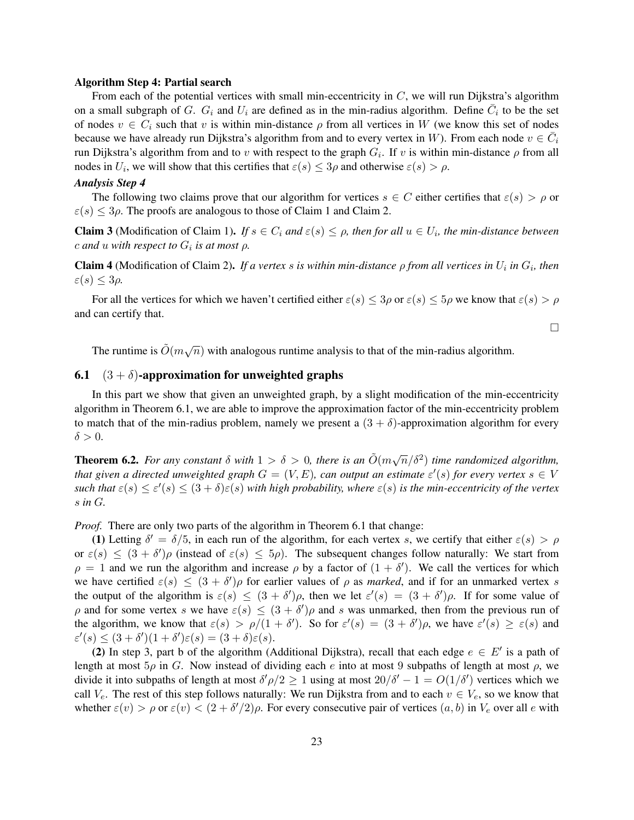#### Algorithm Step 4: Partial search

From each of the potential vertices with small min-eccentricity in C, we will run Dijkstra's algorithm on a small subgraph of G.  $G_i$  and  $U_i$  are defined as in the min-radius algorithm. Define  $\overline{C}_i$  to be the set of nodes  $v \in C_i$  such that v is within min-distance  $\rho$  from all vertices in W (we know this set of nodes because we have already run Dijkstra's algorithm from and to every vertex in W). From each node  $v \in \bar{C}_i$ run Dijkstra's algorithm from and to v with respect to the graph  $G_i$ . If v is within min-distance  $\rho$  from all nodes in  $U_i$ , we will show that this certifies that  $\varepsilon(s) \leq 3\rho$  and otherwise  $\varepsilon(s) > \rho$ .

# *Analysis Step 4*

The following two claims prove that our algorithm for vertices  $s \in C$  either certifies that  $\varepsilon(s) > \rho$  or  $\varepsilon(s) \leq 3\rho$ . The proofs are analogous to those of Claim 1 and Claim 2.

**Claim 3** (Modification of Claim 1). *If*  $s \in C_i$  *and*  $\varepsilon(s) \leq \rho$ , *then for all*  $u \in U_i$ , *the min-distance between*  $c$  and  $u$  with respect to  $G_i$  is at most  $\rho$ .

**Claim 4** (Modification of Claim 2). If a vertex s is within min-distance  $\rho$  from all vertices in  $U_i$  in  $G_i$ , then  $\varepsilon(s) \leq 3\rho$ .

For all the vertices for which we haven't certified either  $\varepsilon(s) \leq 3\rho$  or  $\varepsilon(s) \leq 5\rho$  we know that  $\varepsilon(s) > \rho$ and can certify that.

 $\Box$ 

The runtime is  $\tilde{O}(m\sqrt{n})$  with analogous runtime analysis to that of the min-radius algorithm.

# 6.1  $(3 + \delta)$ -approximation for unweighted graphs

In this part we show that given an unweighted graph, by a slight modification of the min-eccentricity algorithm in Theorem 6.1, we are able to improve the approximation factor of the min-eccentricity problem to match that of the min-radius problem, namely we present a  $(3 + \delta)$ -approximation algorithm for every  $\delta > 0$ .

**Theorem 6.2.** For any constant  $\delta$  with  $1 > \delta > 0$ , there is an  $\tilde{O}(m\sqrt{n}/\delta^2)$  time randomized algorithm, *that given a directed unweighted graph*  $G = (V, E)$ , can output an estimate  $\varepsilon'(s)$  for every vertex  $s \in V$  $\textit{such that } \varepsilon(s) \leq \varepsilon'(s) \leq (3+\delta)\varepsilon(s)$  with high probability, where  $\varepsilon(s)$  is the min-eccentricity of the vertex s *in* G*.*

*Proof.* There are only two parts of the algorithm in Theorem 6.1 that change:

(1) Letting  $\delta' = \delta/5$ , in each run of the algorithm, for each vertex s, we certify that either  $\varepsilon(s) > \rho$ or  $\varepsilon(s) \leq (3 + \delta')\rho$  (instead of  $\varepsilon(s) \leq 5\rho$ ). The subsequent changes follow naturally: We start from  $\rho = 1$  and we run the algorithm and increase  $\rho$  by a factor of  $(1 + \delta')$ . We call the vertices for which we have certified  $\varepsilon(s) \leq (3 + \delta')\rho$  for earlier values of  $\rho$  as *marked*, and if for an unmarked vertex s the output of the algorithm is  $\varepsilon(s) \leq (3 + \delta')\rho$ , then we let  $\varepsilon'(s) = (3 + \delta')\rho$ . If for some value of  $\rho$  and for some vertex s we have  $\varepsilon(s) \leq (3 + \delta')\rho$  and s was unmarked, then from the previous run of the algorithm, we know that  $\varepsilon(s) > \rho/(1+\delta')$ . So for  $\varepsilon'(s) = (3+\delta')\rho$ , we have  $\varepsilon'(s) \ge \varepsilon(s)$  and  $\varepsilon'(s) \leq (3+\delta')(1+\delta')\varepsilon(s) = (3+\delta)\varepsilon(s).$ 

(2) In step 3, part b of the algorithm (Additional Dijkstra), recall that each edge  $e \in E'$  is a path of length at most  $5\rho$  in G. Now instead of dividing each e into at most 9 subpaths of length at most  $\rho$ , we divide it into subpaths of length at most  $\delta' \rho/2 \ge 1$  using at most  $20/\delta' - 1 = O(1/\delta')$  vertices which we call  $V_e$ . The rest of this step follows naturally: We run Dijkstra from and to each  $v \in V_e$ , so we know that whether  $\varepsilon(v) > \rho$  or  $\varepsilon(v) < (2 + \delta'/2)\rho$ . For every consecutive pair of vertices  $(a, b)$  in  $V_e$  over all e with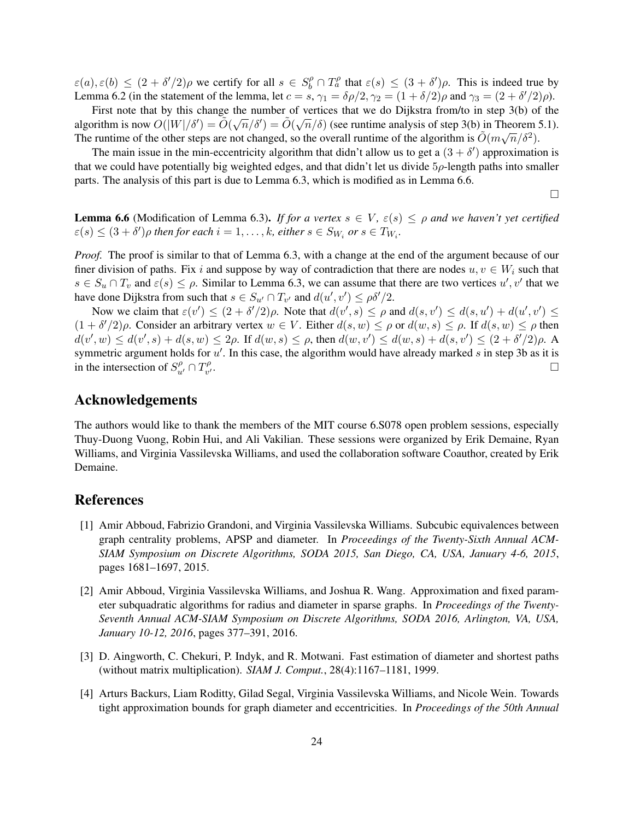$\varepsilon(a), \varepsilon(b) \le (2 + \delta'/2)\rho$  we certify for all  $s \in S_b^{\rho} \cap T_a^{\rho}$  that  $\varepsilon(s) \le (3 + \delta')\rho$ . This is indeed true by Lemma 6.2 (in the statement of the lemma, let  $c = s$ ,  $\gamma_1 = \delta \rho/2$ ,  $\gamma_2 = (1 + \delta/2)\rho$  and  $\gamma_3 = (2 + \delta'/2)\rho$ ).

First note that by this change the number of vertices that we do Dijkstra from/to in step 3(b) of the  $\tilde{O}(T/\tilde{S}) = \tilde{O}(T/\tilde{S}) = \tilde{O}(T/\tilde{S})$ algorithm is now  $O(|W|/\delta') = \tilde{O}(\sqrt{n}/\delta') = \tilde{O}(\sqrt{n}/\delta)$  (see runtime analysis of step 3(b) in Theorem 5.1). The runtime of the other steps are not changed, so the overall runtime of the algorithm is  $\tilde{O}(m\sqrt{n}/\delta^2)$ .

The main issue in the min-eccentricity algorithm that didn't allow us to get a  $(3 + \delta')$  approximation is that we could have potentially big weighted edges, and that didn't let us divide 5ρ-length paths into smaller parts. The analysis of this part is due to Lemma 6.3, which is modified as in Lemma 6.6.

 $\Box$ 

**Lemma 6.6** (Modification of Lemma 6.3). *If for a vertex*  $s \in V$ ,  $\varepsilon(s) \leq \rho$  *and we haven't yet certified*  $\varepsilon(s) \leq (3 + \delta')\rho$  then for each  $i = 1, \ldots, k$ , either  $s \in S_{W_i}$  or  $s \in T_{W_i}$ .

*Proof.* The proof is similar to that of Lemma 6.3, with a change at the end of the argument because of our finer division of paths. Fix i and suppose by way of contradiction that there are nodes  $u, v \in W_i$  such that  $s \in S_u \cap T_v$  and  $\varepsilon(s) \leq \rho$ . Similar to Lemma 6.3, we can assume that there are two vertices  $u', v'$  that we have done Dijkstra from such that  $s \in S_{u'} \cap T_{v'}$  and  $d(u', v') \le \rho \delta'/2$ .

Now we claim that  $\varepsilon(v') \leq (2 + \delta'/2)\rho$ . Note that  $d(v', s) \leq \rho$  and  $d(s, v') \leq d(s, u') + d(u', v') \leq \rho$  $(1 + \delta'/2)\rho$ . Consider an arbitrary vertex  $w \in V$ . Either  $d(s, w) \le \rho$  or  $d(w, s) \le \rho$ . If  $d(s, w) \le \rho$  then  $d(v', w) \le d(v', s) + d(s, w) \le 2\rho$ . If  $d(w, s) \le \rho$ , then  $d(w, v') \le d(w, s) + d(s, v') \le (2 + \delta'/2)\rho$ . A symmetric argument holds for  $u'$ . In this case, the algorithm would have already marked s in step 3b as it is in the intersection of  $S_{u'}^{\rho} \cap T_{v'}^{\rho}$ v  $\overline{a}$ .

# Acknowledgements

The authors would like to thank the members of the MIT course 6.S078 open problem sessions, especially Thuy-Duong Vuong, Robin Hui, and Ali Vakilian. These sessions were organized by Erik Demaine, Ryan Williams, and Virginia Vassilevska Williams, and used the collaboration software Coauthor, created by Erik Demaine.

# References

- [1] Amir Abboud, Fabrizio Grandoni, and Virginia Vassilevska Williams. Subcubic equivalences between graph centrality problems, APSP and diameter. In *Proceedings of the Twenty-Sixth Annual ACM-SIAM Symposium on Discrete Algorithms, SODA 2015, San Diego, CA, USA, January 4-6, 2015*, pages 1681–1697, 2015.
- [2] Amir Abboud, Virginia Vassilevska Williams, and Joshua R. Wang. Approximation and fixed parameter subquadratic algorithms for radius and diameter in sparse graphs. In *Proceedings of the Twenty-Seventh Annual ACM-SIAM Symposium on Discrete Algorithms, SODA 2016, Arlington, VA, USA, January 10-12, 2016*, pages 377–391, 2016.
- [3] D. Aingworth, C. Chekuri, P. Indyk, and R. Motwani. Fast estimation of diameter and shortest paths (without matrix multiplication). *SIAM J. Comput.*, 28(4):1167–1181, 1999.
- [4] Arturs Backurs, Liam Roditty, Gilad Segal, Virginia Vassilevska Williams, and Nicole Wein. Towards tight approximation bounds for graph diameter and eccentricities. In *Proceedings of the 50th Annual*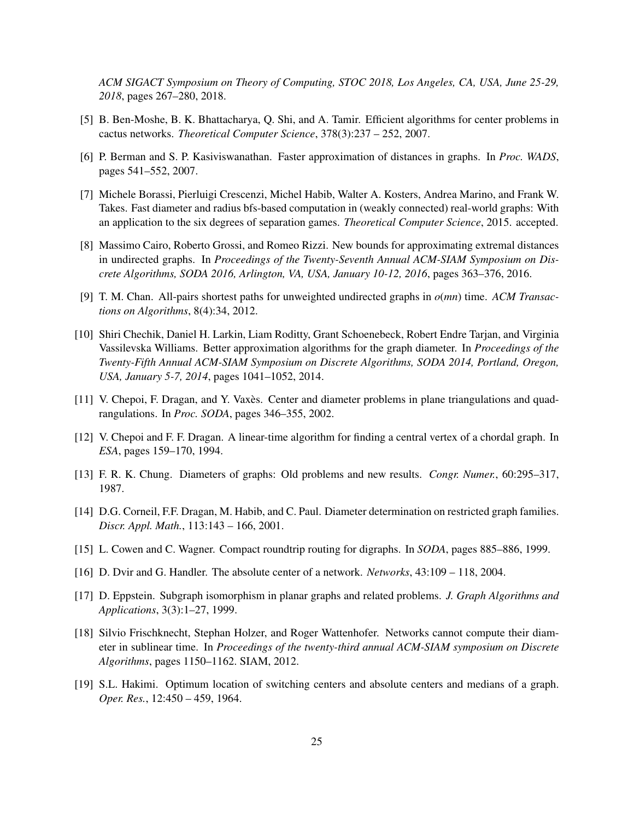*ACM SIGACT Symposium on Theory of Computing, STOC 2018, Los Angeles, CA, USA, June 25-29, 2018*, pages 267–280, 2018.

- [5] B. Ben-Moshe, B. K. Bhattacharya, Q. Shi, and A. Tamir. Efficient algorithms for center problems in cactus networks. *Theoretical Computer Science*, 378(3):237 – 252, 2007.
- [6] P. Berman and S. P. Kasiviswanathan. Faster approximation of distances in graphs. In *Proc. WADS*, pages 541–552, 2007.
- [7] Michele Borassi, Pierluigi Crescenzi, Michel Habib, Walter A. Kosters, Andrea Marino, and Frank W. Takes. Fast diameter and radius bfs-based computation in (weakly connected) real-world graphs: With an application to the six degrees of separation games. *Theoretical Computer Science*, 2015. accepted.
- [8] Massimo Cairo, Roberto Grossi, and Romeo Rizzi. New bounds for approximating extremal distances in undirected graphs. In *Proceedings of the Twenty-Seventh Annual ACM-SIAM Symposium on Discrete Algorithms, SODA 2016, Arlington, VA, USA, January 10-12, 2016*, pages 363–376, 2016.
- [9] T. M. Chan. All-pairs shortest paths for unweighted undirected graphs in *o*(*mn*) time. *ACM Transactions on Algorithms*, 8(4):34, 2012.
- [10] Shiri Chechik, Daniel H. Larkin, Liam Roditty, Grant Schoenebeck, Robert Endre Tarjan, and Virginia Vassilevska Williams. Better approximation algorithms for the graph diameter. In *Proceedings of the Twenty-Fifth Annual ACM-SIAM Symposium on Discrete Algorithms, SODA 2014, Portland, Oregon, USA, January 5-7, 2014*, pages 1041–1052, 2014.
- [11] V. Chepoi, F. Dragan, and Y. Vaxès. Center and diameter problems in plane triangulations and quadrangulations. In *Proc. SODA*, pages 346–355, 2002.
- [12] V. Chepoi and F. F. Dragan. A linear-time algorithm for finding a central vertex of a chordal graph. In *ESA*, pages 159–170, 1994.
- [13] F. R. K. Chung. Diameters of graphs: Old problems and new results. *Congr. Numer.*, 60:295–317, 1987.
- [14] D.G. Corneil, F.F. Dragan, M. Habib, and C. Paul. Diameter determination on restricted graph families. *Discr. Appl. Math.*, 113:143 – 166, 2001.
- [15] L. Cowen and C. Wagner. Compact roundtrip routing for digraphs. In *SODA*, pages 885–886, 1999.
- [16] D. Dvir and G. Handler. The absolute center of a network. *Networks*, 43:109 118, 2004.
- [17] D. Eppstein. Subgraph isomorphism in planar graphs and related problems. *J. Graph Algorithms and Applications*, 3(3):1–27, 1999.
- [18] Silvio Frischknecht, Stephan Holzer, and Roger Wattenhofer. Networks cannot compute their diameter in sublinear time. In *Proceedings of the twenty-third annual ACM-SIAM symposium on Discrete Algorithms*, pages 1150–1162. SIAM, 2012.
- [19] S.L. Hakimi. Optimum location of switching centers and absolute centers and medians of a graph. *Oper. Res.*, 12:450 – 459, 1964.